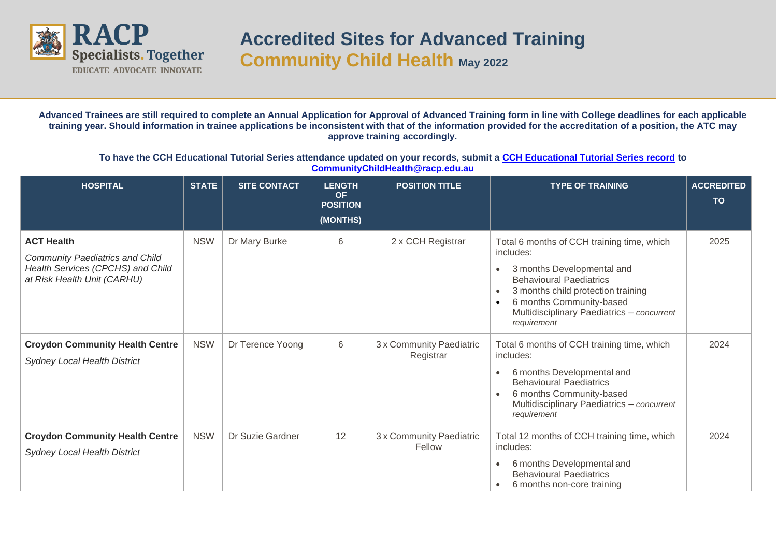

**Advanced Trainees are still required to complete an Annual Application for Approval of Advanced Training form in line with College deadlines for each applicable training year. Should information in trainee applications be inconsistent with that of the information provided for the accreditation of a position, the ATC may approve training accordingly.**

**To have the CCH Educational Tutorial Series attendance updated on your records, submit a [CCH Educational Tutorial Series record](https://www.racp.edu.au/docs/default-source/default-document-library/ela-at-community-child-health-educational-tutorial-series-attendance-record.docx?sfvrsn=56d7131a_0) to [CommunityChildHealth@racp.edu.au](mailto:CommunityChildHealth@racp.edu.au)**

| <b>HOSPITAL</b>                                                                                                                 | <b>STATE</b> | <b>SITE CONTACT</b> | <b>LENGTH</b><br><b>OF</b><br><b>POSITION</b><br>(MONTHS) | <b>POSITION TITLE</b>                 | <b>TYPE OF TRAINING</b>                                                                                                                                                                                                                                             | <b>ACCREDITED</b><br><b>TO</b> |
|---------------------------------------------------------------------------------------------------------------------------------|--------------|---------------------|-----------------------------------------------------------|---------------------------------------|---------------------------------------------------------------------------------------------------------------------------------------------------------------------------------------------------------------------------------------------------------------------|--------------------------------|
| <b>ACT Health</b><br><b>Community Paediatrics and Child</b><br>Health Services (CPCHS) and Child<br>at Risk Health Unit (CARHU) | <b>NSW</b>   | Dr Mary Burke       | 6                                                         | 2 x CCH Registrar                     | Total 6 months of CCH training time, which<br>includes:<br>3 months Developmental and<br><b>Behavioural Paediatrics</b><br>3 months child protection training<br>$\bullet$<br>6 months Community-based<br>Multidisciplinary Paediatrics - concurrent<br>requirement | 2025                           |
| <b>Croydon Community Health Centre</b><br><b>Sydney Local Health District</b>                                                   | <b>NSW</b>   | Dr Terence Yoong    | 6                                                         | 3 x Community Paediatric<br>Registrar | Total 6 months of CCH training time, which<br>includes:<br>6 months Developmental and<br><b>Behavioural Paediatrics</b><br>6 months Community-based<br>Multidisciplinary Paediatrics - concurrent<br>requirement                                                    | 2024                           |
| <b>Croydon Community Health Centre</b><br><b>Sydney Local Health District</b>                                                   | <b>NSW</b>   | Dr Suzie Gardner    | 12                                                        | 3 x Community Paediatric<br>Fellow    | Total 12 months of CCH training time, which<br>includes:<br>6 months Developmental and<br><b>Behavioural Paediatrics</b><br>6 months non-core training<br>- 0                                                                                                       | 2024                           |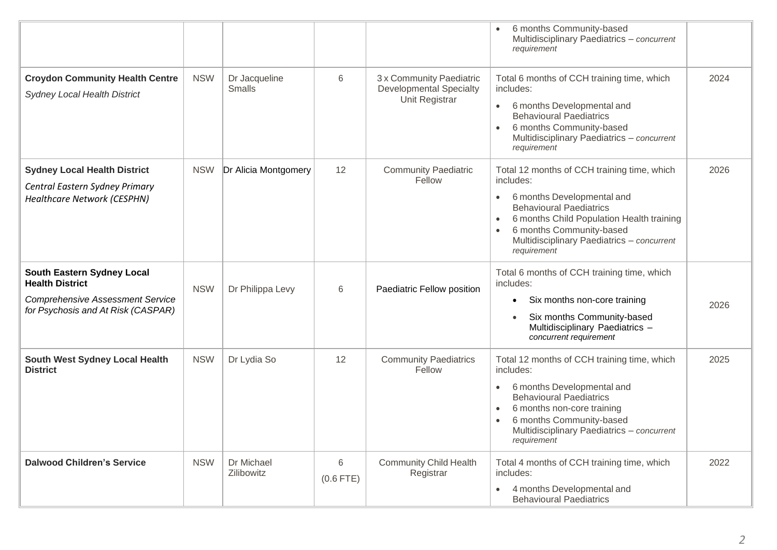|                                                                                                                                              |            |                                |                  |                                                                              | 6 months Community-based<br>Multidisciplinary Paediatrics - concurrent<br>requirement                                                                                                                                                                                       |      |
|----------------------------------------------------------------------------------------------------------------------------------------------|------------|--------------------------------|------------------|------------------------------------------------------------------------------|-----------------------------------------------------------------------------------------------------------------------------------------------------------------------------------------------------------------------------------------------------------------------------|------|
| <b>Croydon Community Health Centre</b><br><b>Sydney Local Health District</b>                                                                | <b>NSW</b> | Dr Jacqueline<br><b>Smalls</b> | 6                | 3 x Community Paediatric<br><b>Developmental Specialty</b><br>Unit Registrar | Total 6 months of CCH training time, which<br>includes:<br>6 months Developmental and<br>$\bullet$<br><b>Behavioural Paediatrics</b><br>6 months Community-based<br>$\bullet$<br>Multidisciplinary Paediatrics - concurrent<br>requirement                                  | 2024 |
| <b>Sydney Local Health District</b><br>Central Eastern Sydney Primary<br><b>Healthcare Network (CESPHN)</b>                                  | <b>NSW</b> | Dr Alicia Montgomery           | 12               | <b>Community Paediatric</b><br>Fellow                                        | Total 12 months of CCH training time, which<br>includes:<br>6 months Developmental and<br>$\bullet$<br><b>Behavioural Paediatrics</b><br>6 months Child Population Health training<br>6 months Community-based<br>Multidisciplinary Paediatrics - concurrent<br>requirement | 2026 |
| <b>South Eastern Sydney Local</b><br><b>Health District</b><br><b>Comprehensive Assessment Service</b><br>for Psychosis and At Risk (CASPAR) | <b>NSW</b> | Dr Philippa Levy               | 6                | Paediatric Fellow position                                                   | Total 6 months of CCH training time, which<br>includes:<br>Six months non-core training<br>٠<br>Six months Community-based<br>$\bullet$<br>Multidisciplinary Paediatrics -<br>concurrent requirement                                                                        | 2026 |
| <b>South West Sydney Local Health</b><br><b>District</b>                                                                                     | <b>NSW</b> | Dr Lydia So                    | 12               | <b>Community Paediatrics</b><br>Fellow                                       | Total 12 months of CCH training time, which<br>includes:<br>6 months Developmental and<br>$\bullet$<br><b>Behavioural Paediatrics</b><br>6 months non-core training<br>6 months Community-based<br>Multidisciplinary Paediatrics - concurrent<br>requirement                | 2025 |
| <b>Dalwood Children's Service</b>                                                                                                            | <b>NSW</b> | Dr Michael<br>Zilibowitz       | 6<br>$(0.6$ FTE) | <b>Community Child Health</b><br>Registrar                                   | Total 4 months of CCH training time, which<br>includes:<br>4 months Developmental and<br>$\bullet$<br><b>Behavioural Paediatrics</b>                                                                                                                                        | 2022 |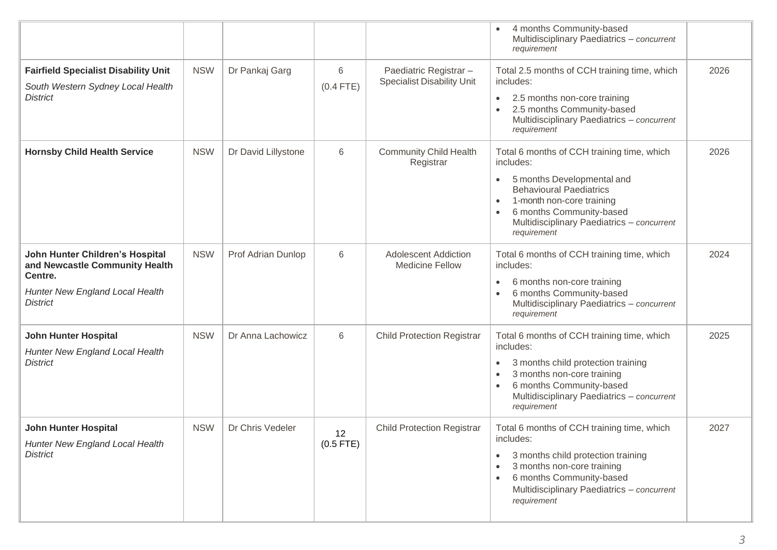|                                                                                                                                    |            |                     |                   |                                                             | 4 months Community-based<br>Multidisciplinary Paediatrics - concurrent<br>requirement                                                                                                                                                                                                |      |
|------------------------------------------------------------------------------------------------------------------------------------|------------|---------------------|-------------------|-------------------------------------------------------------|--------------------------------------------------------------------------------------------------------------------------------------------------------------------------------------------------------------------------------------------------------------------------------------|------|
| <b>Fairfield Specialist Disability Unit</b><br>South Western Sydney Local Health<br><b>District</b>                                | <b>NSW</b> | Dr Pankaj Garg      | 6<br>$(0.4$ FTE)  | Paediatric Registrar -<br><b>Specialist Disability Unit</b> | Total 2.5 months of CCH training time, which<br>includes:<br>2.5 months non-core training<br>$\bullet$<br>2.5 months Community-based<br>Multidisciplinary Paediatrics - concurrent<br>requirement                                                                                    | 2026 |
| <b>Hornsby Child Health Service</b>                                                                                                | <b>NSW</b> | Dr David Lillystone | 6                 | <b>Community Child Health</b><br>Registrar                  | Total 6 months of CCH training time, which<br>includes:<br>5 months Developmental and<br>$\bullet$<br><b>Behavioural Paediatrics</b><br>1-month non-core training<br>$\bullet$<br>6 months Community-based<br>$\bullet$<br>Multidisciplinary Paediatrics - concurrent<br>requirement | 2026 |
| John Hunter Children's Hospital<br>and Newcastle Community Health<br>Centre.<br>Hunter New England Local Health<br><b>District</b> | <b>NSW</b> | Prof Adrian Dunlop  | 6                 | <b>Adolescent Addiction</b><br><b>Medicine Fellow</b>       | Total 6 months of CCH training time, which<br>includes:<br>6 months non-core training<br>$\bullet$<br>6 months Community-based<br>Multidisciplinary Paediatrics - concurrent<br>requirement                                                                                          | 2024 |
| <b>John Hunter Hospital</b><br>Hunter New England Local Health<br><b>District</b>                                                  | <b>NSW</b> | Dr Anna Lachowicz   | 6                 | <b>Child Protection Registrar</b>                           | Total 6 months of CCH training time, which<br>includes:<br>3 months child protection training<br>$\bullet$<br>3 months non-core training<br>$\bullet$<br>6 months Community-based<br>$\bullet$<br>Multidisciplinary Paediatrics - concurrent<br>requirement                          | 2025 |
| <b>John Hunter Hospital</b><br>Hunter New England Local Health<br><b>District</b>                                                  | <b>NSW</b> | Dr Chris Vedeler    | 12<br>$(0.5$ FTE) | <b>Child Protection Registrar</b>                           | Total 6 months of CCH training time, which<br>includes:<br>3 months child protection training<br>$\bullet$<br>3 months non-core training<br>$\bullet$<br>6 months Community-based<br>$\bullet$<br>Multidisciplinary Paediatrics - concurrent<br>requirement                          | 2027 |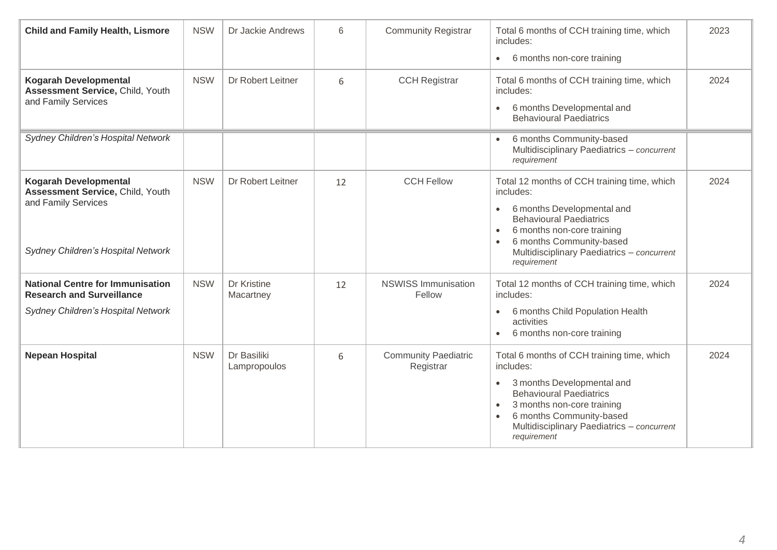| <b>Child and Family Health, Lismore</b>                                                                                       | <b>NSW</b> | Dr Jackie Andrews           | 6  | <b>Community Registrar</b>               | Total 6 months of CCH training time, which<br>includes:<br>6 months non-core training<br>$\bullet$                                                                                                                                                                        | 2023 |
|-------------------------------------------------------------------------------------------------------------------------------|------------|-----------------------------|----|------------------------------------------|---------------------------------------------------------------------------------------------------------------------------------------------------------------------------------------------------------------------------------------------------------------------------|------|
| <b>Kogarah Developmental</b><br>Assessment Service, Child, Youth<br>and Family Services                                       | <b>NSW</b> | Dr Robert Leitner           | 6  | <b>CCH Registrar</b>                     | Total 6 months of CCH training time, which<br>includes:<br>6 months Developmental and<br>$\bullet$<br><b>Behavioural Paediatrics</b>                                                                                                                                      | 2024 |
| Sydney Children's Hospital Network                                                                                            |            |                             |    |                                          | 6 months Community-based<br>Multidisciplinary Paediatrics - concurrent<br>requirement                                                                                                                                                                                     |      |
| <b>Kogarah Developmental</b><br>Assessment Service, Child, Youth<br>and Family Services<br>Sydney Children's Hospital Network | <b>NSW</b> | Dr Robert Leitner           | 12 | <b>CCH Fellow</b>                        | Total 12 months of CCH training time, which<br>includes:<br>6 months Developmental and<br>$\bullet$<br><b>Behavioural Paediatrics</b><br>6 months non-core training<br>$\bullet$<br>6 months Community-based<br>Multidisciplinary Paediatrics - concurrent<br>requirement | 2024 |
| <b>National Centre for Immunisation</b><br><b>Research and Surveillance</b><br>Sydney Children's Hospital Network             | <b>NSW</b> | Dr Kristine<br>Macartney    | 12 | <b>NSWISS Immunisation</b><br>Fellow     | Total 12 months of CCH training time, which<br>includes:<br>6 months Child Population Health<br>$\bullet$<br>activities<br>6 months non-core training<br>$\bullet$                                                                                                        | 2024 |
| <b>Nepean Hospital</b>                                                                                                        | <b>NSW</b> | Dr Basiliki<br>Lampropoulos | 6  | <b>Community Paediatric</b><br>Registrar | Total 6 months of CCH training time, which<br>includes:<br>3 months Developmental and<br>$\bullet$<br><b>Behavioural Paediatrics</b><br>3 months non-core training<br>$\bullet$<br>6 months Community-based<br>Multidisciplinary Paediatrics - concurrent<br>requirement  | 2024 |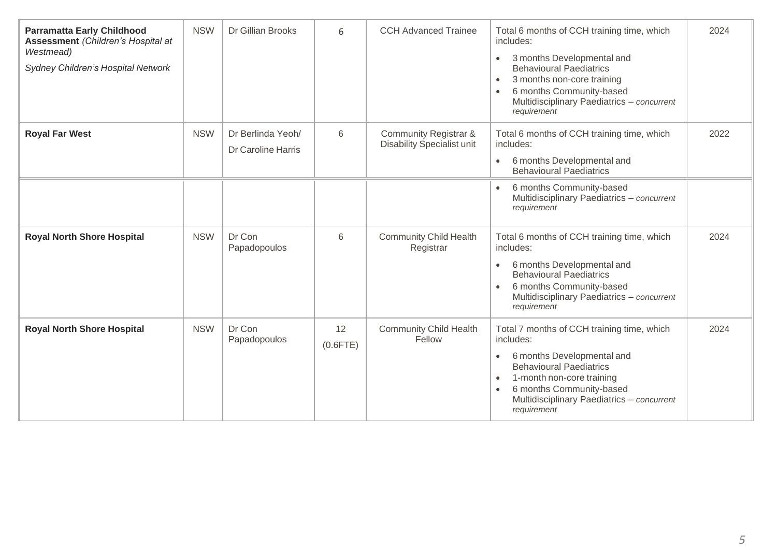| <b>Parramatta Early Childhood</b><br>Assessment (Children's Hospital at<br>Westmead)<br>Sydney Children's Hospital Network | <b>NSW</b> | Dr Gillian Brooks                       | 6                 | <b>CCH Advanced Trainee</b>                                | Total 6 months of CCH training time, which<br>includes:<br>3 months Developmental and<br>$\bullet$<br><b>Behavioural Paediatrics</b><br>3 months non-core training<br>$\bullet$<br>6 months Community-based<br>Multidisciplinary Paediatrics - concurrent<br>requirement | 2024 |
|----------------------------------------------------------------------------------------------------------------------------|------------|-----------------------------------------|-------------------|------------------------------------------------------------|--------------------------------------------------------------------------------------------------------------------------------------------------------------------------------------------------------------------------------------------------------------------------|------|
| <b>Royal Far West</b>                                                                                                      | <b>NSW</b> | Dr Berlinda Yeoh/<br>Dr Caroline Harris | 6                 | Community Registrar &<br><b>Disability Specialist unit</b> | Total 6 months of CCH training time, which<br>includes:<br>6 months Developmental and<br>$\bullet$<br><b>Behavioural Paediatrics</b>                                                                                                                                     | 2022 |
|                                                                                                                            |            |                                         |                   |                                                            | 6 months Community-based<br>Multidisciplinary Paediatrics - concurrent<br>requirement                                                                                                                                                                                    |      |
| <b>Royal North Shore Hospital</b>                                                                                          | <b>NSW</b> | Dr Con<br>Papadopoulos                  | 6                 | <b>Community Child Health</b><br>Registrar                 | Total 6 months of CCH training time, which<br>includes:<br>6 months Developmental and<br><b>Behavioural Paediatrics</b><br>6 months Community-based<br>Multidisciplinary Paediatrics - concurrent<br>requirement                                                         | 2024 |
| <b>Royal North Shore Hospital</b>                                                                                          | <b>NSW</b> | Dr Con<br>Papadopoulos                  | 12<br>$(0.6$ FTE) | <b>Community Child Health</b><br>Fellow                    | Total 7 months of CCH training time, which<br>includes:<br>6 months Developmental and<br>$\bullet$<br><b>Behavioural Paediatrics</b><br>1-month non-core training<br>$\bullet$<br>6 months Community-based<br>Multidisciplinary Paediatrics - concurrent<br>requirement  | 2024 |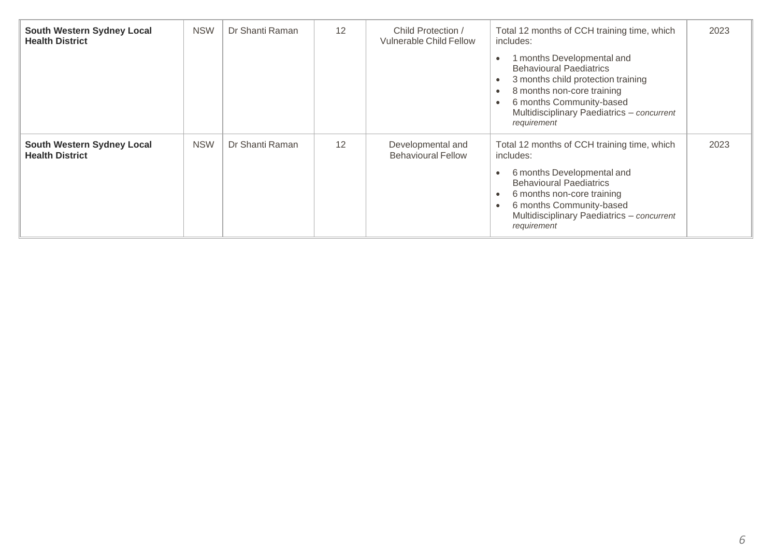| South Western Sydney Local<br><b>Health District</b> | <b>NSW</b> | Dr Shanti Raman | 12 | Child Protection /<br><b>Vulnerable Child Fellow</b> | Total 12 months of CCH training time, which<br>includes:<br>1 months Developmental and<br><b>Behavioural Paediatrics</b><br>3 months child protection training<br>8 months non-core training<br>6 months Community-based<br>Multidisciplinary Paediatrics - concurrent<br>requirement | 2023 |
|------------------------------------------------------|------------|-----------------|----|------------------------------------------------------|---------------------------------------------------------------------------------------------------------------------------------------------------------------------------------------------------------------------------------------------------------------------------------------|------|
| South Western Sydney Local<br><b>Health District</b> | <b>NSW</b> | Dr Shanti Raman | 12 | Developmental and<br><b>Behavioural Fellow</b>       | Total 12 months of CCH training time, which<br>includes:<br>6 months Developmental and<br><b>Behavioural Paediatrics</b><br>6 months non-core training<br>$\bullet$<br>6 months Community-based<br>Multidisciplinary Paediatrics - concurrent<br>requirement                          | 2023 |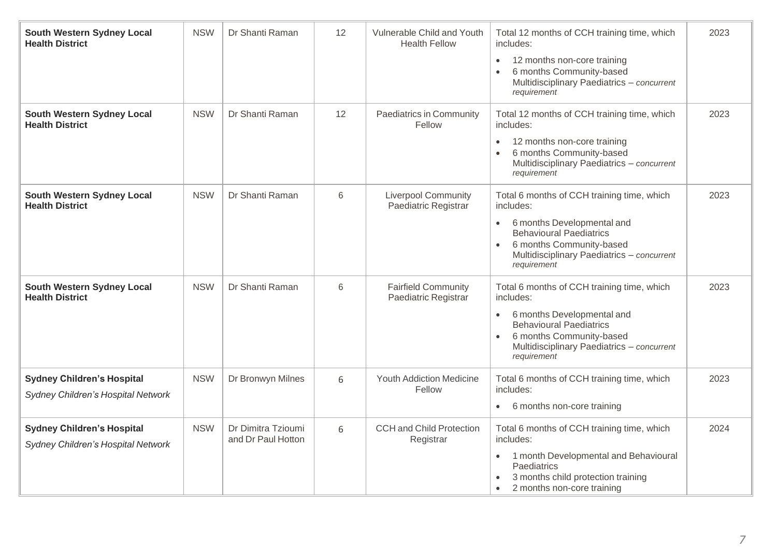| South Western Sydney Local<br><b>Health District</b>                    | <b>NSW</b> | Dr Shanti Raman                          | 12 | Vulnerable Child and Youth<br><b>Health Fellow</b> | Total 12 months of CCH training time, which<br>includes:<br>12 months non-core training<br>$\bullet$<br>6 months Community-based<br>Multidisciplinary Paediatrics - concurrent<br>requirement                                 | 2023 |
|-------------------------------------------------------------------------|------------|------------------------------------------|----|----------------------------------------------------|-------------------------------------------------------------------------------------------------------------------------------------------------------------------------------------------------------------------------------|------|
| South Western Sydney Local<br><b>Health District</b>                    | <b>NSW</b> | Dr Shanti Raman                          | 12 | Paediatrics in Community<br>Fellow                 | Total 12 months of CCH training time, which<br>includes:<br>12 months non-core training<br>6 months Community-based<br>Multidisciplinary Paediatrics - concurrent<br>requirement                                              | 2023 |
| South Western Sydney Local<br><b>Health District</b>                    | <b>NSW</b> | Dr Shanti Raman                          | 6  | <b>Liverpool Community</b><br>Paediatric Registrar | Total 6 months of CCH training time, which<br>includes:<br>6 months Developmental and<br>$\bullet$<br><b>Behavioural Paediatrics</b><br>6 months Community-based<br>Multidisciplinary Paediatrics - concurrent<br>requirement | 2023 |
| South Western Sydney Local<br><b>Health District</b>                    | <b>NSW</b> | Dr Shanti Raman                          | 6  | <b>Fairfield Community</b><br>Paediatric Registrar | Total 6 months of CCH training time, which<br>includes:<br>6 months Developmental and<br>$\bullet$<br><b>Behavioural Paediatrics</b><br>6 months Community-based<br>Multidisciplinary Paediatrics - concurrent<br>requirement | 2023 |
| <b>Sydney Children's Hospital</b><br>Sydney Children's Hospital Network | <b>NSW</b> | Dr Bronwyn Milnes                        | 6  | <b>Youth Addiction Medicine</b><br>Fellow          | Total 6 months of CCH training time, which<br>includes:<br>6 months non-core training<br>$\bullet$                                                                                                                            | 2023 |
| <b>Sydney Children's Hospital</b><br>Sydney Children's Hospital Network | <b>NSW</b> | Dr Dimitra Tzioumi<br>and Dr Paul Hotton | 6  | <b>CCH and Child Protection</b><br>Registrar       | Total 6 months of CCH training time, which<br>includes:<br>1 month Developmental and Behavioural<br>$\bullet$<br>Paediatrics<br>3 months child protection training<br>2 months non-core training                              | 2024 |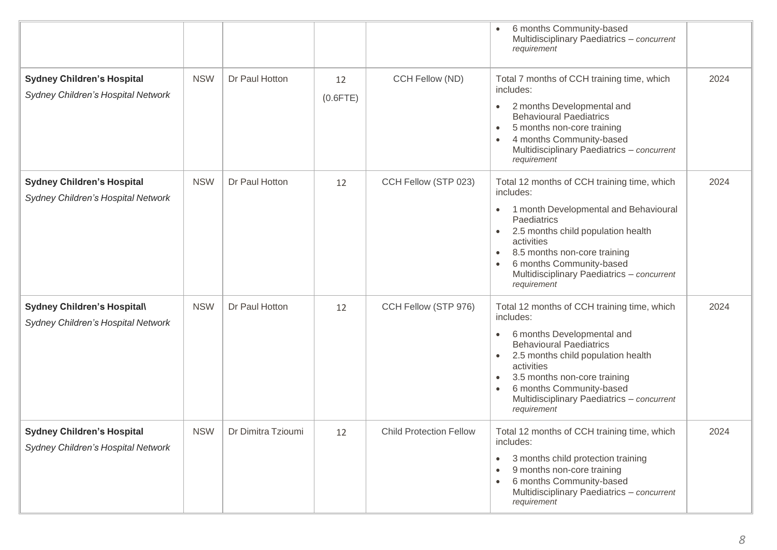|                                                                         |            |                    |                   |                                | 6 months Community-based<br>Multidisciplinary Paediatrics - concurrent<br>requirement                                                                                                                                                                                                                                                        |      |
|-------------------------------------------------------------------------|------------|--------------------|-------------------|--------------------------------|----------------------------------------------------------------------------------------------------------------------------------------------------------------------------------------------------------------------------------------------------------------------------------------------------------------------------------------------|------|
| <b>Sydney Children's Hospital</b><br>Sydney Children's Hospital Network | <b>NSW</b> | Dr Paul Hotton     | 12<br>$(0.6$ FTE) | CCH Fellow (ND)                | Total 7 months of CCH training time, which<br>includes:<br>2 months Developmental and<br>$\bullet$<br><b>Behavioural Paediatrics</b><br>5 months non-core training<br>4 months Community-based<br>Multidisciplinary Paediatrics - concurrent<br>requirement                                                                                  | 2024 |
| <b>Sydney Children's Hospital</b><br>Sydney Children's Hospital Network | <b>NSW</b> | Dr Paul Hotton     | 12                | CCH Fellow (STP 023)           | Total 12 months of CCH training time, which<br>includes:<br>1 month Developmental and Behavioural<br>$\bullet$<br>Paediatrics<br>2.5 months child population health<br>$\bullet$<br>activities<br>8.5 months non-core training<br>$\bullet$<br>6 months Community-based<br>Multidisciplinary Paediatrics - concurrent<br>requirement         | 2024 |
| Sydney Children's Hospital\<br>Sydney Children's Hospital Network       | <b>NSW</b> | Dr Paul Hotton     | 12                | CCH Fellow (STP 976)           | Total 12 months of CCH training time, which<br>includes:<br>6 months Developmental and<br>$\bullet$<br><b>Behavioural Paediatrics</b><br>2.5 months child population health<br>$\bullet$<br>activities<br>3.5 months non-core training<br>$\bullet$<br>6 months Community-based<br>Multidisciplinary Paediatrics - concurrent<br>requirement | 2024 |
| <b>Sydney Children's Hospital</b><br>Sydney Children's Hospital Network | <b>NSW</b> | Dr Dimitra Tzioumi | 12                | <b>Child Protection Fellow</b> | Total 12 months of CCH training time, which<br>includes:<br>3 months child protection training<br>٠<br>9 months non-core training<br>٠<br>6 months Community-based<br>Multidisciplinary Paediatrics - concurrent<br>requirement                                                                                                              | 2024 |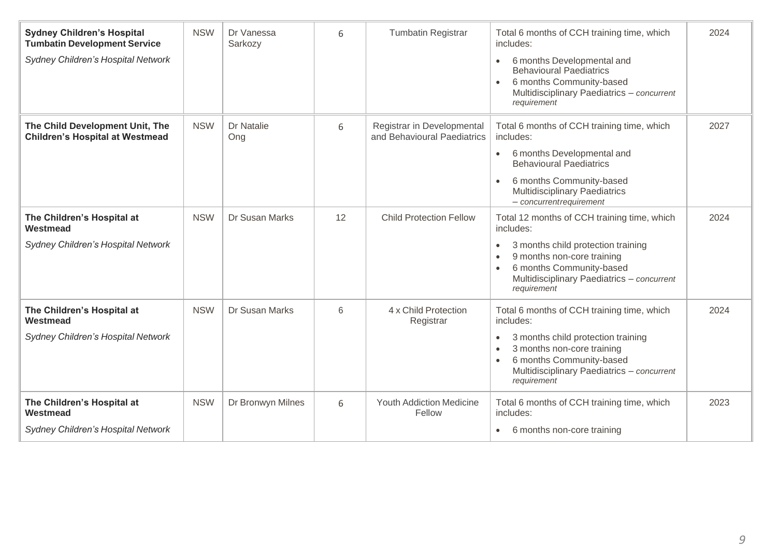| <b>Sydney Children's Hospital</b><br><b>Tumbatin Development Service</b><br>Sydney Children's Hospital Network | <b>NSW</b> | Dr Vanessa<br>Sarkozy | 6  | <b>Tumbatin Registrar</b>                                 | Total 6 months of CCH training time, which<br>includes:<br>6 months Developmental and<br><b>Behavioural Paediatrics</b><br>6 months Community-based<br>Multidisciplinary Paediatrics - concurrent<br>requirement                                    | 2024 |
|----------------------------------------------------------------------------------------------------------------|------------|-----------------------|----|-----------------------------------------------------------|-----------------------------------------------------------------------------------------------------------------------------------------------------------------------------------------------------------------------------------------------------|------|
| The Child Development Unit, The<br><b>Children's Hospital at Westmead</b>                                      | <b>NSW</b> | Dr Natalie<br>Ong     | 6  | Registrar in Developmental<br>and Behavioural Paediatrics | Total 6 months of CCH training time, which<br>includes:<br>6 months Developmental and<br>$\bullet$<br><b>Behavioural Paediatrics</b><br>6 months Community-based<br>$\bullet$<br><b>Multidisciplinary Paediatrics</b><br>$-$ concurrent requirement | 2027 |
| The Children's Hospital at<br>Westmead<br>Sydney Children's Hospital Network                                   | <b>NSW</b> | Dr Susan Marks        | 12 | <b>Child Protection Fellow</b>                            | Total 12 months of CCH training time, which<br>includes:<br>3 months child protection training<br>$\bullet$<br>9 months non-core training<br>6 months Community-based<br>Multidisciplinary Paediatrics - concurrent<br>requirement                  | 2024 |
| The Children's Hospital at<br>Westmead<br>Sydney Children's Hospital Network                                   | <b>NSW</b> | Dr Susan Marks        | 6  | 4 x Child Protection<br>Registrar                         | Total 6 months of CCH training time, which<br>includes:<br>3 months child protection training<br>$\bullet$<br>3 months non-core training<br>6 months Community-based<br>Multidisciplinary Paediatrics - concurrent<br>requirement                   | 2024 |
| The Children's Hospital at<br>Westmead<br>Sydney Children's Hospital Network                                   | <b>NSW</b> | Dr Bronwyn Milnes     | 6  | <b>Youth Addiction Medicine</b><br>Fellow                 | Total 6 months of CCH training time, which<br>includes:<br>6 months non-core training<br>$\bullet$                                                                                                                                                  | 2023 |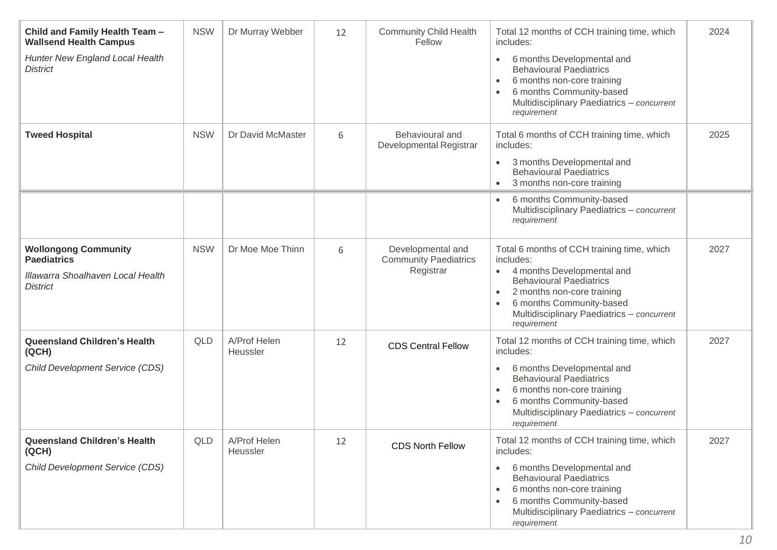| Child and Family Health Team -<br><b>Wallsend Health Campus</b><br>Hunter New England Local Health<br><b>District</b> | <b>NSW</b> | Dr Murray Webber         | 12 | <b>Community Child Health</b><br>Fellow                        | Total 12 months of CCH training time, which<br>includes:<br>6 months Developmental and<br>$\bullet$<br><b>Behavioural Paediatrics</b><br>6 months non-core training<br>$\bullet$<br>6 months Community-based<br>Multidisciplinary Paediatrics - concurrent<br>requirement              | 2024 |
|-----------------------------------------------------------------------------------------------------------------------|------------|--------------------------|----|----------------------------------------------------------------|----------------------------------------------------------------------------------------------------------------------------------------------------------------------------------------------------------------------------------------------------------------------------------------|------|
| <b>Tweed Hospital</b>                                                                                                 | <b>NSW</b> | Dr David McMaster        | 6  | Behavioural and<br>Developmental Registrar                     | Total 6 months of CCH training time, which<br>includes:<br>3 months Developmental and<br>$\bullet$<br><b>Behavioural Paediatrics</b><br>3 months non-core training<br>$\bullet$                                                                                                        | 2025 |
|                                                                                                                       |            |                          |    |                                                                | 6 months Community-based<br>Multidisciplinary Paediatrics - concurrent<br>requirement                                                                                                                                                                                                  |      |
| <b>Wollongong Community</b><br><b>Paediatrics</b><br>Illawarra Shoalhaven Local Health<br><b>District</b>             | <b>NSW</b> | Dr Moe Moe Thinn         | 6  | Developmental and<br><b>Community Paediatrics</b><br>Registrar | Total 6 months of CCH training time, which<br>includes:<br>4 months Developmental and<br>$\bullet$<br><b>Behavioural Paediatrics</b><br>2 months non-core training<br>$\bullet$<br>6 months Community-based<br>Multidisciplinary Paediatrics - concurrent<br>requirement               | 2027 |
| <b>Queensland Children's Health</b><br>(QCH)<br>Child Development Service (CDS)                                       | QLD        | A/Prof Helen<br>Heussler | 12 | <b>CDS Central Fellow</b>                                      | Total 12 months of CCH training time, which<br>includes:<br>6 months Developmental and<br>$\bullet$<br><b>Behavioural Paediatrics</b><br>6 months non-core training<br>$\bullet$<br>6 months Community-based<br>$\bullet$<br>Multidisciplinary Paediatrics - concurrent<br>requirement | 2027 |
| <b>Queensland Children's Health</b><br>(QCH)<br>Child Development Service (CDS)                                       | QLD        | A/Prof Helen<br>Heussler | 12 | <b>CDS North Fellow</b>                                        | Total 12 months of CCH training time, which<br>includes:<br>6 months Developmental and<br>$\bullet$<br><b>Behavioural Paediatrics</b><br>6 months non-core training<br>$\bullet$<br>6 months Community-based<br>Multidisciplinary Paediatrics - concurrent<br>requirement              | 2027 |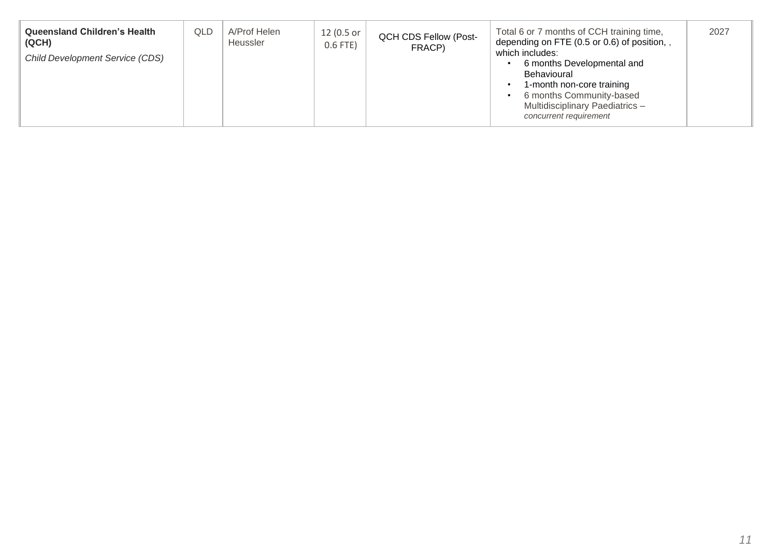| <b>Queensland Children's Health</b><br>QLD<br>(QCH)<br><b>Child Development Service (CDS)</b> | A/Prof Helen<br>Heussler | 12 (0.5 or<br>$0.6$ FTE) | <b>QCH CDS Fellow (Post-</b><br>FRACP) | Total 6 or 7 months of CCH training time,<br>depending on FTE (0.5 or 0.6) of position,<br>which includes:<br>6 months Developmental and<br>Behavioural<br>1-month non-core training<br>6 months Community-based<br><b>Multidisciplinary Paediatrics -</b><br>concurrent requirement | 2027 |
|-----------------------------------------------------------------------------------------------|--------------------------|--------------------------|----------------------------------------|--------------------------------------------------------------------------------------------------------------------------------------------------------------------------------------------------------------------------------------------------------------------------------------|------|
|-----------------------------------------------------------------------------------------------|--------------------------|--------------------------|----------------------------------------|--------------------------------------------------------------------------------------------------------------------------------------------------------------------------------------------------------------------------------------------------------------------------------------|------|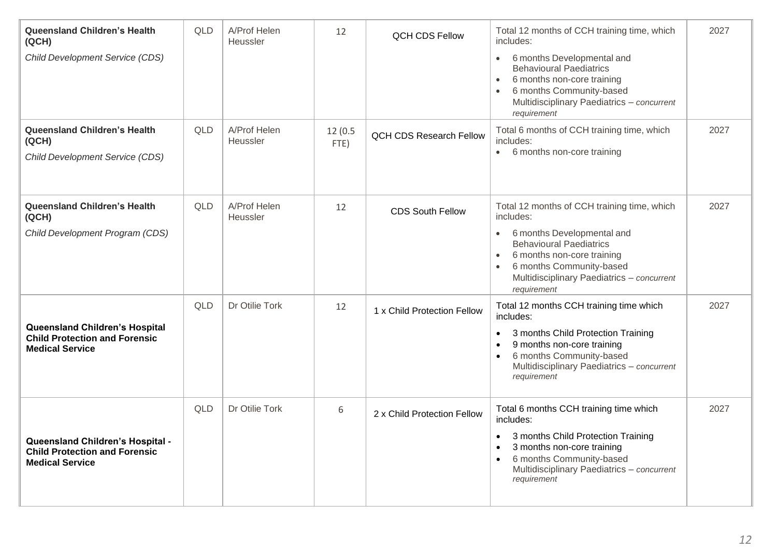| <b>Queensland Children's Health</b><br>(QCH)<br><b>Child Development Service (CDS)</b>             | <b>QLD</b> | A/Prof Helen<br>Heussler | 12              | <b>QCH CDS Fellow</b>          | Total 12 months of CCH training time, which<br>includes:<br>6 months Developmental and<br>$\bullet$<br><b>Behavioural Paediatrics</b><br>6 months non-core training<br>$\bullet$<br>6 months Community-based<br>$\bullet$<br>Multidisciplinary Paediatrics - concurrent<br>requirement | 2027 |
|----------------------------------------------------------------------------------------------------|------------|--------------------------|-----------------|--------------------------------|----------------------------------------------------------------------------------------------------------------------------------------------------------------------------------------------------------------------------------------------------------------------------------------|------|
| <b>Queensland Children's Health</b><br>(QCH)<br><b>Child Development Service (CDS)</b>             | <b>QLD</b> | A/Prof Helen<br>Heussler | 12(0.5)<br>FTE) | <b>QCH CDS Research Fellow</b> | Total 6 months of CCH training time, which<br>includes:<br>6 months non-core training<br>$\bullet$                                                                                                                                                                                     | 2027 |
| <b>Queensland Children's Health</b><br>(QCH)<br>Child Development Program (CDS)                    | QLD        | A/Prof Helen<br>Heussler | 12              | <b>CDS South Fellow</b>        | Total 12 months of CCH training time, which<br>includes:<br>6 months Developmental and<br>$\bullet$<br><b>Behavioural Paediatrics</b><br>6 months non-core training<br>$\bullet$<br>6 months Community-based<br>$\bullet$<br>Multidisciplinary Paediatrics - concurrent<br>requirement | 2027 |
| Queensland Children's Hospital<br><b>Child Protection and Forensic</b><br><b>Medical Service</b>   | <b>QLD</b> | Dr Otilie Tork           | 12              | 1 x Child Protection Fellow    | Total 12 months CCH training time which<br>includes:<br>3 months Child Protection Training<br>$\bullet$<br>9 months non-core training<br>6 months Community-based<br>Multidisciplinary Paediatrics - concurrent<br>requirement                                                         | 2027 |
| Queensland Children's Hospital -<br><b>Child Protection and Forensic</b><br><b>Medical Service</b> | <b>QLD</b> | Dr Otilie Tork           | 6               | 2 x Child Protection Fellow    | Total 6 months CCH training time which<br>includes:<br>3 months Child Protection Training<br>3 months non-core training<br>6 months Community-based<br>Multidisciplinary Paediatrics - concurrent<br>requirement                                                                       | 2027 |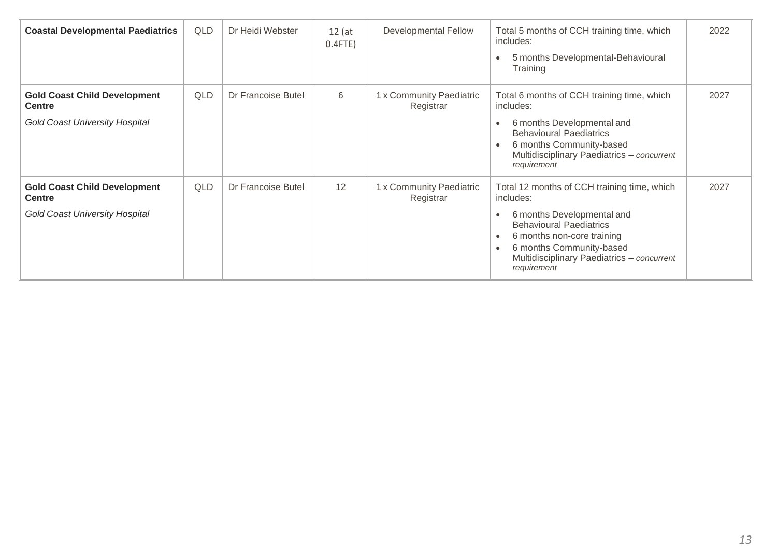| <b>Coastal Developmental Paediatrics</b>                                                      | QLD | Dr Heidi Webster          | $12$ (at<br>$0.4$ FTE) | <b>Developmental Fellow</b>           | Total 5 months of CCH training time, which<br>includes:<br>5 months Developmental-Behavioural<br>Training                                                                                                                                       | 2022 |
|-----------------------------------------------------------------------------------------------|-----|---------------------------|------------------------|---------------------------------------|-------------------------------------------------------------------------------------------------------------------------------------------------------------------------------------------------------------------------------------------------|------|
| <b>Gold Coast Child Development</b><br><b>Centre</b><br><b>Gold Coast University Hospital</b> | QLD | <b>Dr Francoise Butel</b> | 6                      | 1 x Community Paediatric<br>Registrar | Total 6 months of CCH training time, which<br>includes:<br>6 months Developmental and<br><b>Behavioural Paediatrics</b><br>6 months Community-based<br>Multidisciplinary Paediatrics - concurrent<br>requirement                                | 2027 |
| <b>Gold Coast Child Development</b><br><b>Centre</b><br><b>Gold Coast University Hospital</b> | QLD | Dr Francoise Butel        | 12                     | 1 x Community Paediatric<br>Registrar | Total 12 months of CCH training time, which<br>includes:<br>6 months Developmental and<br><b>Behavioural Paediatrics</b><br>6 months non-core training<br>6 months Community-based<br>Multidisciplinary Paediatrics - concurrent<br>requirement | 2027 |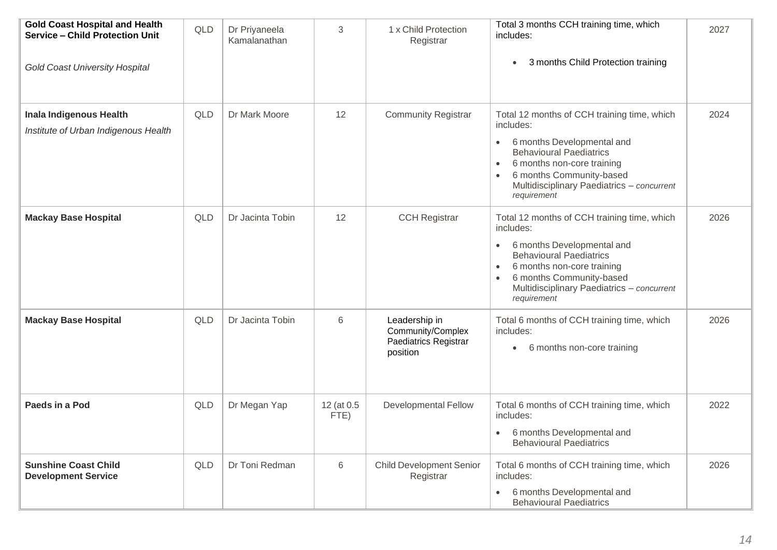| <b>Gold Coast Hospital and Health</b><br><b>Service - Child Protection Unit</b><br><b>Gold Coast University Hospital</b> | <b>QLD</b> | Dr Priyaneela<br>Kamalanathan | 3                  | 1 x Child Protection<br>Registrar                                       | Total 3 months CCH training time, which<br>includes:<br>3 months Child Protection training<br>$\bullet$                                                                                                                                                                   | 2027 |
|--------------------------------------------------------------------------------------------------------------------------|------------|-------------------------------|--------------------|-------------------------------------------------------------------------|---------------------------------------------------------------------------------------------------------------------------------------------------------------------------------------------------------------------------------------------------------------------------|------|
| Inala Indigenous Health<br>Institute of Urban Indigenous Health                                                          | <b>QLD</b> | Dr Mark Moore                 | 12                 | <b>Community Registrar</b>                                              | Total 12 months of CCH training time, which<br>includes:<br>6 months Developmental and<br>$\bullet$<br><b>Behavioural Paediatrics</b><br>6 months non-core training<br>6 months Community-based<br>$\bullet$<br>Multidisciplinary Paediatrics - concurrent<br>requirement | 2024 |
| <b>Mackay Base Hospital</b>                                                                                              | <b>QLD</b> | Dr Jacinta Tobin              | 12                 | <b>CCH Registrar</b>                                                    | Total 12 months of CCH training time, which<br>includes:<br>6 months Developmental and<br><b>Behavioural Paediatrics</b><br>6 months non-core training<br>6 months Community-based<br>Multidisciplinary Paediatrics - concurrent<br>requirement                           | 2026 |
| <b>Mackay Base Hospital</b>                                                                                              | <b>QLD</b> | Dr Jacinta Tobin              | 6                  | Leadership in<br>Community/Complex<br>Paediatrics Registrar<br>position | Total 6 months of CCH training time, which<br>includes:<br>6 months non-core training<br>$\bullet$                                                                                                                                                                        | 2026 |
| Paeds in a Pod                                                                                                           | QLD        | Dr Megan Yap                  | 12 (at 0.5<br>FTE) | <b>Developmental Fellow</b>                                             | Total 6 months of CCH training time, which<br>includes:<br>6 months Developmental and<br>$\bullet$<br><b>Behavioural Paediatrics</b>                                                                                                                                      | 2022 |
| <b>Sunshine Coast Child</b><br><b>Development Service</b>                                                                | <b>QLD</b> | Dr Toni Redman                | 6                  | <b>Child Development Senior</b><br>Registrar                            | Total 6 months of CCH training time, which<br>includes:<br>6 months Developmental and<br>$\bullet$<br><b>Behavioural Paediatrics</b>                                                                                                                                      | 2026 |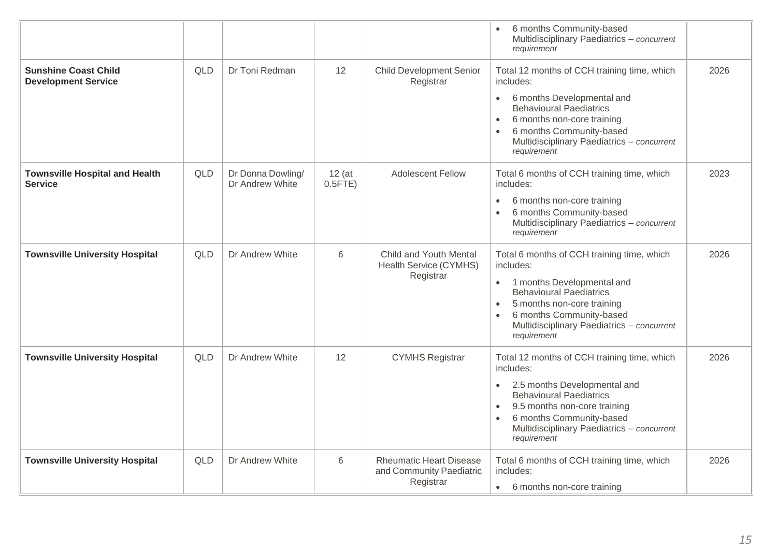|                                                           |            |                                      |                        |                                                                         | 6 months Community-based<br>Multidisciplinary Paediatrics - concurrent<br>requirement                                                                                                                                                                                                      |      |
|-----------------------------------------------------------|------------|--------------------------------------|------------------------|-------------------------------------------------------------------------|--------------------------------------------------------------------------------------------------------------------------------------------------------------------------------------------------------------------------------------------------------------------------------------------|------|
| <b>Sunshine Coast Child</b><br><b>Development Service</b> | <b>QLD</b> | Dr Toni Redman                       | 12                     | <b>Child Development Senior</b><br>Registrar                            | Total 12 months of CCH training time, which<br>includes:                                                                                                                                                                                                                                   | 2026 |
|                                                           |            |                                      |                        |                                                                         | 6 months Developmental and<br>$\bullet$<br><b>Behavioural Paediatrics</b><br>6 months non-core training<br>$\bullet$<br>6 months Community-based<br>Multidisciplinary Paediatrics - concurrent<br>requirement                                                                              |      |
| <b>Townsville Hospital and Health</b><br><b>Service</b>   | QLD        | Dr Donna Dowling/<br>Dr Andrew White | $12$ (at<br>$0.5$ FTE) | <b>Adolescent Fellow</b>                                                | Total 6 months of CCH training time, which<br>includes:                                                                                                                                                                                                                                    | 2023 |
|                                                           |            |                                      |                        |                                                                         | 6 months non-core training<br>$\bullet$<br>6 months Community-based<br>$\bullet$<br>Multidisciplinary Paediatrics - concurrent<br>requirement                                                                                                                                              |      |
| <b>Townsville University Hospital</b>                     | <b>QLD</b> | Dr Andrew White                      | $6\phantom{1}6$        | Child and Youth Mental<br>Health Service (CYMHS)<br>Registrar           | Total 6 months of CCH training time, which<br>includes:<br>1 months Developmental and<br>$\bullet$<br><b>Behavioural Paediatrics</b><br>5 months non-core training<br>$\bullet$<br>6 months Community-based<br>$\bullet$<br>Multidisciplinary Paediatrics - concurrent<br>requirement      | 2026 |
| <b>Townsville University Hospital</b>                     | <b>QLD</b> | Dr Andrew White                      | 12                     | <b>CYMHS Registrar</b>                                                  | Total 12 months of CCH training time, which<br>includes:<br>2.5 months Developmental and<br>$\bullet$<br><b>Behavioural Paediatrics</b><br>9.5 months non-core training<br>$\bullet$<br>6 months Community-based<br>$\bullet$<br>Multidisciplinary Paediatrics - concurrent<br>requirement | 2026 |
| <b>Townsville University Hospital</b>                     | QLD        | Dr Andrew White                      | 6                      | <b>Rheumatic Heart Disease</b><br>and Community Paediatric<br>Registrar | Total 6 months of CCH training time, which<br>includes:<br>• 6 months non-core training                                                                                                                                                                                                    | 2026 |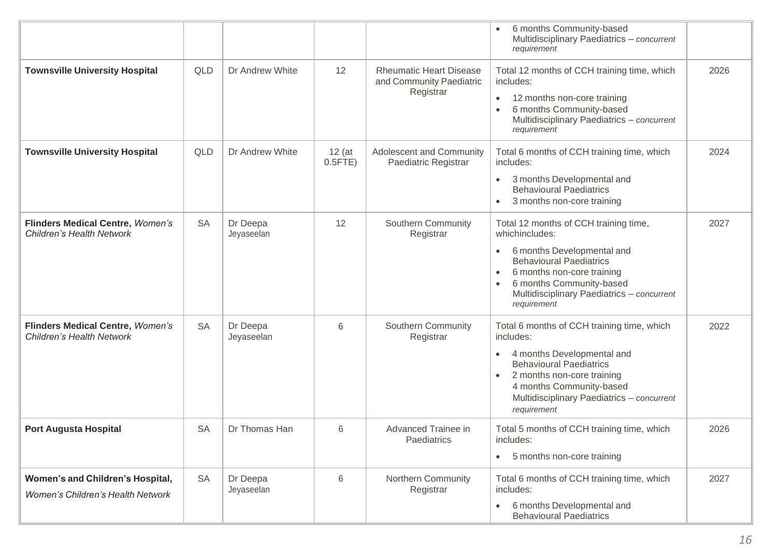|                                                                              |           |                        |                        |                                                                         | 6 months Community-based<br>Multidisciplinary Paediatrics - concurrent<br>requirement                                                                                                                                                                                                 |      |
|------------------------------------------------------------------------------|-----------|------------------------|------------------------|-------------------------------------------------------------------------|---------------------------------------------------------------------------------------------------------------------------------------------------------------------------------------------------------------------------------------------------------------------------------------|------|
| <b>Townsville University Hospital</b>                                        | QLD       | Dr Andrew White        | 12                     | <b>Rheumatic Heart Disease</b><br>and Community Paediatric<br>Registrar | Total 12 months of CCH training time, which<br>includes:<br>12 months non-core training<br>$\bullet$<br>6 months Community-based<br>$\bullet$<br>Multidisciplinary Paediatrics - concurrent<br>requirement                                                                            | 2026 |
| <b>Townsville University Hospital</b>                                        | QLD       | Dr Andrew White        | $12$ (at<br>$0.5$ FTE) | Adolescent and Community<br>Paediatric Registrar                        | Total 6 months of CCH training time, which<br>includes:<br>3 months Developmental and<br>$\bullet$<br><b>Behavioural Paediatrics</b><br>3 months non-core training<br>$\bullet$                                                                                                       | 2024 |
| <b>Flinders Medical Centre, Women's</b><br>Children's Health Network         | <b>SA</b> | Dr Deepa<br>Jeyaseelan | 12                     | Southern Community<br>Registrar                                         | Total 12 months of CCH training time,<br>whichincludes:<br>6 months Developmental and<br>$\bullet$<br><b>Behavioural Paediatrics</b><br>6 months non-core training<br>$\bullet$<br>6 months Community-based<br>$\bullet$<br>Multidisciplinary Paediatrics - concurrent<br>requirement | 2027 |
| Flinders Medical Centre, Women's<br><b>Children's Health Network</b>         | <b>SA</b> | Dr Deepa<br>Jeyaseelan | 6                      | Southern Community<br>Registrar                                         | Total 6 months of CCH training time, which<br>includes:<br>4 months Developmental and<br>$\bullet$<br><b>Behavioural Paediatrics</b><br>2 months non-core training<br>$\bullet$<br>4 months Community-based<br>Multidisciplinary Paediatrics - concurrent<br>requirement              | 2022 |
| <b>Port Augusta Hospital</b>                                                 | <b>SA</b> | Dr Thomas Han          | 6                      | Advanced Trainee in<br>Paediatrics                                      | Total 5 months of CCH training time, which<br>includes:<br>5 months non-core training<br>$\bullet$                                                                                                                                                                                    | 2026 |
| Women's and Children's Hospital,<br><b>Women's Children's Health Network</b> | <b>SA</b> | Dr Deepa<br>Jeyaseelan | 6                      | Northern Community<br>Registrar                                         | Total 6 months of CCH training time, which<br>includes:<br>6 months Developmental and<br>$\bullet$<br><b>Behavioural Paediatrics</b>                                                                                                                                                  | 2027 |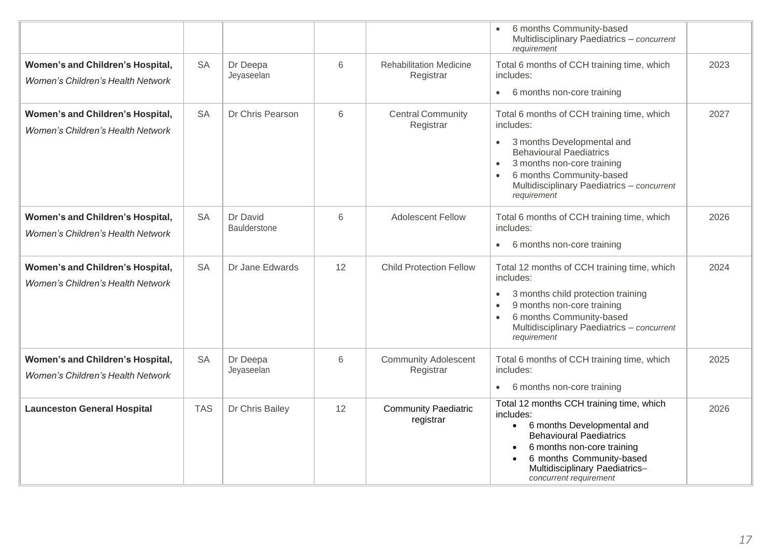|                                                                              |            |                          |    |                                             | 6 months Community-based<br>Multidisciplinary Paediatrics - concurrent<br>requirement                                                                                                                                                         |      |
|------------------------------------------------------------------------------|------------|--------------------------|----|---------------------------------------------|-----------------------------------------------------------------------------------------------------------------------------------------------------------------------------------------------------------------------------------------------|------|
| Women's and Children's Hospital,                                             | <b>SA</b>  | Dr Deepa<br>Jeyaseelan   | 6  | <b>Rehabilitation Medicine</b><br>Registrar | Total 6 months of CCH training time, which<br>includes:                                                                                                                                                                                       | 2023 |
| Women's Children's Health Network                                            |            |                          |    |                                             | 6 months non-core training<br>$\bullet$                                                                                                                                                                                                       |      |
| Women's and Children's Hospital,                                             | <b>SA</b>  | Dr Chris Pearson         | 6  | <b>Central Community</b><br>Registrar       | Total 6 months of CCH training time, which<br>includes:                                                                                                                                                                                       | 2027 |
| Women's Children's Health Network                                            |            |                          |    |                                             | 3 months Developmental and<br>$\bullet$<br><b>Behavioural Paediatrics</b><br>3 months non-core training<br>$\bullet$<br>6 months Community-based<br>$\bullet$<br>Multidisciplinary Paediatrics - concurrent<br>requirement                    |      |
| Women's and Children's Hospital,                                             | <b>SA</b>  | Dr David<br>Baulderstone | 6  | <b>Adolescent Fellow</b>                    | Total 6 months of CCH training time, which<br>includes:                                                                                                                                                                                       | 2026 |
| <b>Women's Children's Health Network</b>                                     |            |                          |    |                                             | 6 months non-core training<br>$\bullet$                                                                                                                                                                                                       |      |
| Women's and Children's Hospital,<br><b>Women's Children's Health Network</b> | <b>SA</b>  | Dr Jane Edwards          | 12 | <b>Child Protection Fellow</b>              | Total 12 months of CCH training time, which<br>includes:<br>3 months child protection training<br>$\bullet$<br>9 months non-core training<br>$\bullet$<br>6 months Community-based<br>$\bullet$                                               | 2024 |
|                                                                              |            |                          |    |                                             | Multidisciplinary Paediatrics - concurrent<br>requirement                                                                                                                                                                                     |      |
| Women's and Children's Hospital,<br><b>Women's Children's Health Network</b> | <b>SA</b>  | Dr Deepa<br>Jeyaseelan   | 6  | <b>Community Adolescent</b><br>Registrar    | Total 6 months of CCH training time, which<br>includes:<br>6 months non-core training<br>$\bullet$                                                                                                                                            | 2025 |
| <b>Launceston General Hospital</b>                                           | <b>TAS</b> | Dr Chris Bailey          | 12 | <b>Community Paediatric</b><br>registrar    | Total 12 months CCH training time, which<br>includes:<br>• 6 months Developmental and<br><b>Behavioural Paediatrics</b><br>6 months non-core training<br>6 months Community-based<br>Multidisciplinary Paediatrics-<br>concurrent requirement | 2026 |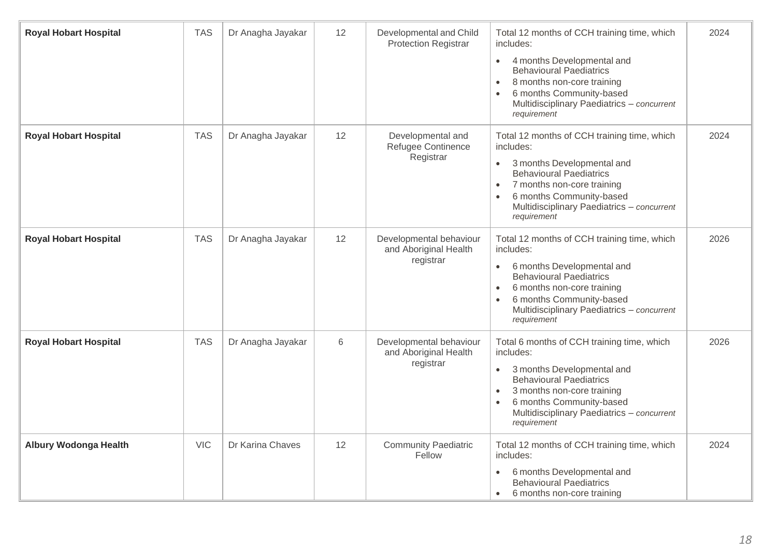| <b>Royal Hobart Hospital</b> | <b>TAS</b> | Dr Anagha Jayakar | 12 | Developmental and Child<br><b>Protection Registrar</b>        | Total 12 months of CCH training time, which<br>includes:<br>4 months Developmental and<br>$\bullet$<br><b>Behavioural Paediatrics</b><br>8 months non-core training<br>$\bullet$<br>6 months Community-based<br>$\bullet$<br>Multidisciplinary Paediatrics - concurrent<br>requirement | 2024 |
|------------------------------|------------|-------------------|----|---------------------------------------------------------------|----------------------------------------------------------------------------------------------------------------------------------------------------------------------------------------------------------------------------------------------------------------------------------------|------|
| <b>Royal Hobart Hospital</b> | <b>TAS</b> | Dr Anagha Jayakar | 12 | Developmental and<br>Refugee Continence<br>Registrar          | Total 12 months of CCH training time, which<br>includes:<br>3 months Developmental and<br>$\bullet$<br><b>Behavioural Paediatrics</b><br>7 months non-core training<br>$\bullet$<br>6 months Community-based<br>$\bullet$<br>Multidisciplinary Paediatrics - concurrent<br>requirement | 2024 |
| <b>Royal Hobart Hospital</b> | <b>TAS</b> | Dr Anagha Jayakar | 12 | Developmental behaviour<br>and Aboriginal Health<br>registrar | Total 12 months of CCH training time, which<br>includes:<br>6 months Developmental and<br>$\bullet$<br><b>Behavioural Paediatrics</b><br>6 months non-core training<br>$\bullet$<br>6 months Community-based<br>$\bullet$<br>Multidisciplinary Paediatrics - concurrent<br>requirement | 2026 |
| <b>Royal Hobart Hospital</b> | <b>TAS</b> | Dr Anagha Jayakar | 6  | Developmental behaviour<br>and Aboriginal Health<br>registrar | Total 6 months of CCH training time, which<br>includes:<br>3 months Developmental and<br>$\bullet$<br><b>Behavioural Paediatrics</b><br>3 months non-core training<br>$\bullet$<br>6 months Community-based<br>$\bullet$<br>Multidisciplinary Paediatrics - concurrent<br>requirement  | 2026 |
| <b>Albury Wodonga Health</b> | <b>VIC</b> | Dr Karina Chaves  | 12 | <b>Community Paediatric</b><br>Fellow                         | Total 12 months of CCH training time, which<br>includes:<br>6 months Developmental and<br>$\bullet$<br><b>Behavioural Paediatrics</b><br>6 months non-core training<br>$\bullet$                                                                                                       | 2024 |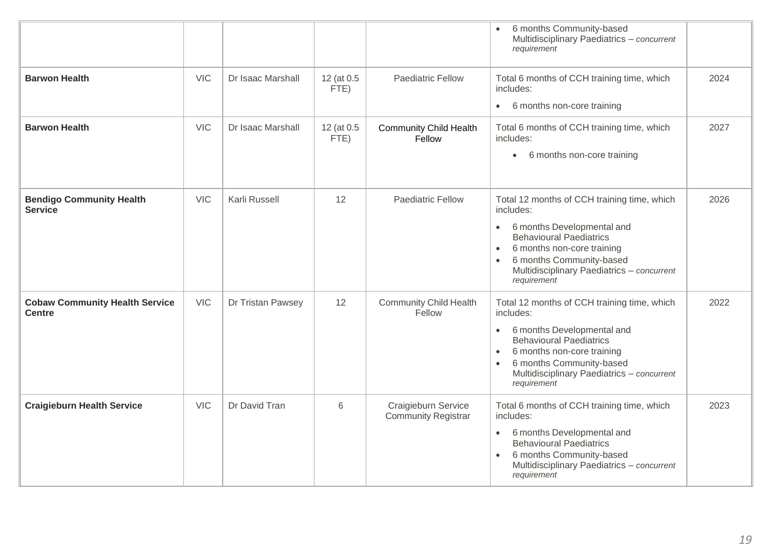|                                                        |            |                   |                    |                                                   | 6 months Community-based<br>$\bullet$<br>Multidisciplinary Paediatrics - concurrent<br>requirement                                                                                                                                                                                     |      |
|--------------------------------------------------------|------------|-------------------|--------------------|---------------------------------------------------|----------------------------------------------------------------------------------------------------------------------------------------------------------------------------------------------------------------------------------------------------------------------------------------|------|
| <b>Barwon Health</b>                                   | <b>VIC</b> | Dr Isaac Marshall | 12 (at 0.5<br>FTE) | <b>Paediatric Fellow</b>                          | Total 6 months of CCH training time, which<br>includes:<br>6 months non-core training<br>$\bullet$                                                                                                                                                                                     | 2024 |
| <b>Barwon Health</b>                                   | <b>VIC</b> | Dr Isaac Marshall | 12 (at 0.5<br>FTE) | <b>Community Child Health</b><br>Fellow           | Total 6 months of CCH training time, which<br>includes:<br>6 months non-core training<br>$\bullet$                                                                                                                                                                                     | 2027 |
| <b>Bendigo Community Health</b><br><b>Service</b>      | <b>VIC</b> | Karli Russell     | 12                 | <b>Paediatric Fellow</b>                          | Total 12 months of CCH training time, which<br>includes:<br>6 months Developmental and<br>$\bullet$<br><b>Behavioural Paediatrics</b><br>6 months non-core training<br>$\bullet$<br>6 months Community-based<br>$\bullet$<br>Multidisciplinary Paediatrics - concurrent<br>requirement | 2026 |
| <b>Cobaw Community Health Service</b><br><b>Centre</b> | <b>VIC</b> | Dr Tristan Pawsey | 12                 | <b>Community Child Health</b><br>Fellow           | Total 12 months of CCH training time, which<br>includes:<br>6 months Developmental and<br>$\bullet$<br><b>Behavioural Paediatrics</b><br>6 months non-core training<br>$\bullet$<br>6 months Community-based<br>$\bullet$<br>Multidisciplinary Paediatrics - concurrent<br>requirement | 2022 |
| <b>Craigieburn Health Service</b>                      | <b>VIC</b> | Dr David Tran     | 6                  | Craigieburn Service<br><b>Community Registrar</b> | Total 6 months of CCH training time, which<br>includes:<br>6 months Developmental and<br>$\bullet$<br><b>Behavioural Paediatrics</b><br>6 months Community-based<br>$\bullet$<br>Multidisciplinary Paediatrics - concurrent<br>requirement                                             | 2023 |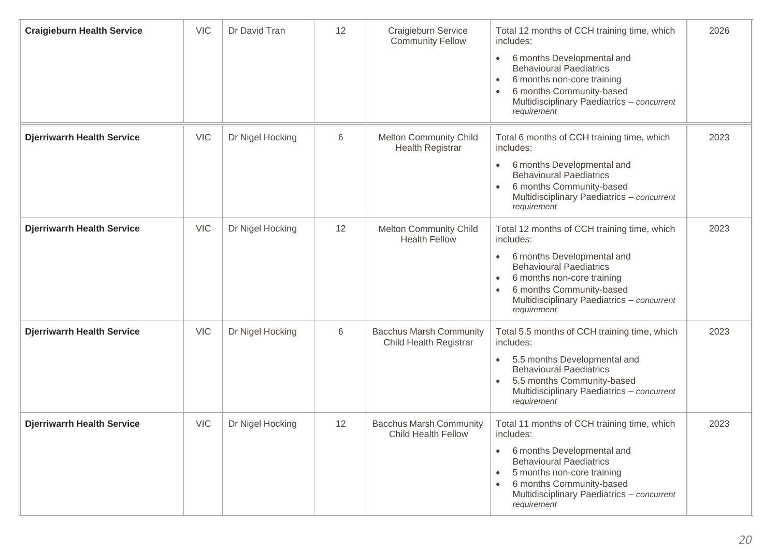| <b>Craigieburn Health Service</b> | <b>VIC</b> | Dr David Tran    | 12              | Craigieburn Service<br><b>Community Fellow</b>           | Total 12 months of CCH training time, which<br>includes:<br>6 months Developmental and<br>$\bullet$<br><b>Behavioural Paediatrics</b><br>6 months non-core training<br>$\bullet$<br>6 months Community-based<br>Multidisciplinary Paediatrics - concurrent<br>requirement | 2026 |
|-----------------------------------|------------|------------------|-----------------|----------------------------------------------------------|---------------------------------------------------------------------------------------------------------------------------------------------------------------------------------------------------------------------------------------------------------------------------|------|
| <b>Djerriwarrh Health Service</b> | <b>VIC</b> | Dr Nigel Hocking | $6\phantom{1}6$ | <b>Melton Community Child</b><br><b>Health Registrar</b> | Total 6 months of CCH training time, which<br>includes:<br>6 months Developmental and<br>$\bullet$<br><b>Behavioural Paediatrics</b><br>6 months Community-based<br>$\bullet$<br>Multidisciplinary Paediatrics - concurrent<br>requirement                                | 2023 |
| <b>Djerriwarrh Health Service</b> | <b>VIC</b> | Dr Nigel Hocking | 12              | <b>Melton Community Child</b><br><b>Health Fellow</b>    | Total 12 months of CCH training time, which<br>includes:<br>6 months Developmental and<br>$\bullet$<br><b>Behavioural Paediatrics</b><br>6 months non-core training<br>$\bullet$<br>6 months Community-based<br>Multidisciplinary Paediatrics - concurrent<br>requirement | 2023 |
| <b>Djerriwarrh Health Service</b> | <b>VIC</b> | Dr Nigel Hocking | 6               | <b>Bacchus Marsh Community</b><br>Child Health Registrar | Total 5.5 months of CCH training time, which<br>includes:<br>5.5 months Developmental and<br>$\bullet$<br><b>Behavioural Paediatrics</b><br>5.5 months Community-based<br>Multidisciplinary Paediatrics - concurrent<br>requirement                                       | 2023 |
| <b>Djerriwarrh Health Service</b> | <b>VIC</b> | Dr Nigel Hocking | 12              | <b>Bacchus Marsh Community</b><br>Child Health Fellow    | Total 11 months of CCH training time, which<br>includes:<br>6 months Developmental and<br>$\bullet$<br><b>Behavioural Paediatrics</b><br>5 months non-core training<br>$\bullet$<br>6 months Community-based<br>Multidisciplinary Paediatrics - concurrent<br>requirement | 2023 |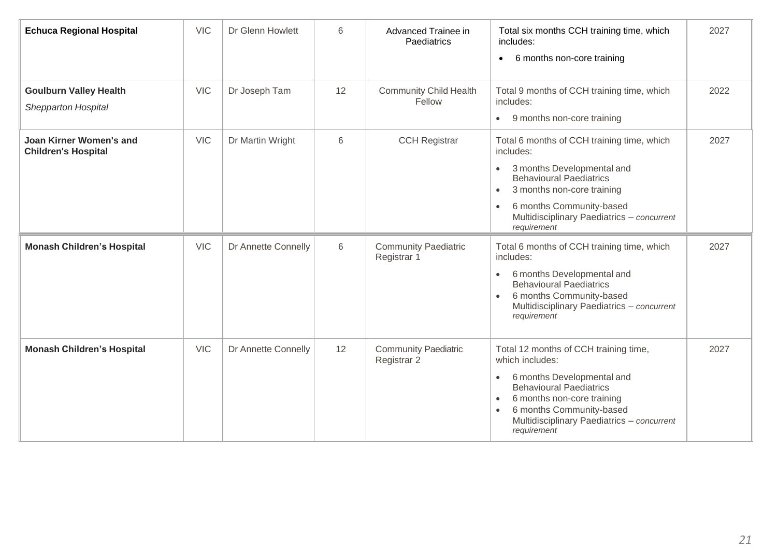| <b>Echuca Regional Hospital</b>                             | <b>VIC</b> | Dr Glenn Howlett    | 6  | Advanced Trainee in<br>Paediatrics         | Total six months CCH training time, which<br>includes:<br>6 months non-core training<br>$\bullet$                                                                                                                                                                                      | 2027 |
|-------------------------------------------------------------|------------|---------------------|----|--------------------------------------------|----------------------------------------------------------------------------------------------------------------------------------------------------------------------------------------------------------------------------------------------------------------------------------------|------|
| <b>Goulburn Valley Health</b><br><b>Shepparton Hospital</b> | <b>VIC</b> | Dr Joseph Tam       | 12 | <b>Community Child Health</b><br>Fellow    | Total 9 months of CCH training time, which<br>includes:<br>9 months non-core training<br>$\bullet$                                                                                                                                                                                     | 2022 |
| Joan Kirner Women's and<br><b>Children's Hospital</b>       | <b>VIC</b> | Dr Martin Wright    | 6  | <b>CCH Registrar</b>                       | Total 6 months of CCH training time, which<br>includes:<br>3 months Developmental and<br>$\bullet$<br><b>Behavioural Paediatrics</b><br>3 months non-core training<br>$\bullet$<br>6 months Community-based<br>$\bullet$<br>Multidisciplinary Paediatrics - concurrent<br>requirement  | 2027 |
| <b>Monash Children's Hospital</b>                           | <b>VIC</b> | Dr Annette Connelly | 6  | <b>Community Paediatric</b><br>Registrar 1 | Total 6 months of CCH training time, which<br>includes:<br>6 months Developmental and<br>$\bullet$<br><b>Behavioural Paediatrics</b><br>6 months Community-based<br>$\bullet$<br>Multidisciplinary Paediatrics - concurrent<br>requirement                                             | 2027 |
| <b>Monash Children's Hospital</b>                           | <b>VIC</b> | Dr Annette Connelly | 12 | <b>Community Paediatric</b><br>Registrar 2 | Total 12 months of CCH training time,<br>which includes:<br>6 months Developmental and<br>$\bullet$<br><b>Behavioural Paediatrics</b><br>6 months non-core training<br>$\bullet$<br>6 months Community-based<br>$\bullet$<br>Multidisciplinary Paediatrics - concurrent<br>requirement | 2027 |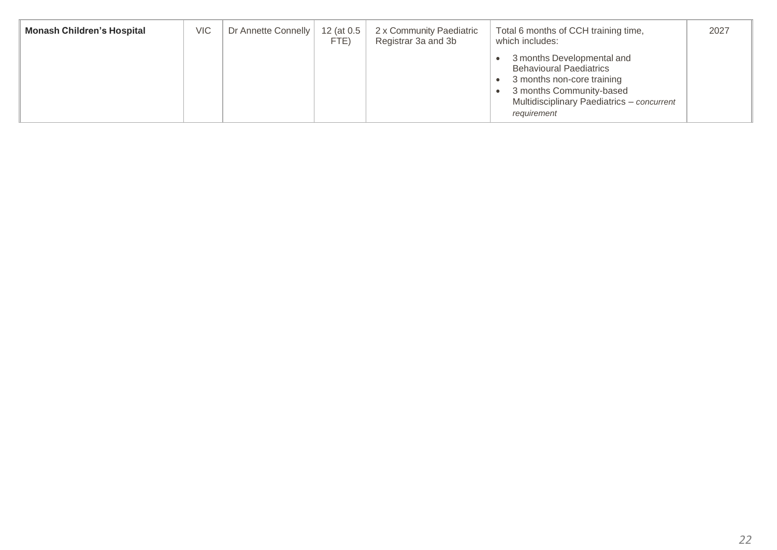| <b>Monash Children's Hospital</b> | <b>VIC</b> | Dr Annette Connelly | 12 (at 0.5<br>FTE) | 2 x Community Paediatric<br>Registrar 3a and 3b | Total 6 months of CCH training time,<br>which includes:                                                                                                                             | 2027 |
|-----------------------------------|------------|---------------------|--------------------|-------------------------------------------------|-------------------------------------------------------------------------------------------------------------------------------------------------------------------------------------|------|
|                                   |            |                     |                    |                                                 | 3 months Developmental and<br><b>Behavioural Paediatrics</b><br>3 months non-core training<br>3 months Community-based<br>Multidisciplinary Paediatrics - concurrent<br>requirement |      |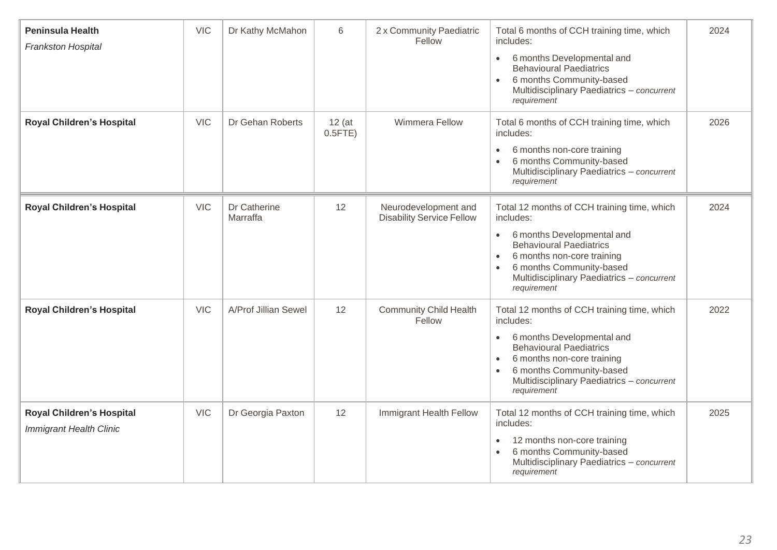| <b>Peninsula Health</b><br>Frankston Hospital                      | <b>VIC</b> | Dr Kathy McMahon         | 6                      | 2 x Community Paediatric<br>Fellow                       | Total 6 months of CCH training time, which<br>includes:<br>6 months Developmental and<br>$\bullet$<br><b>Behavioural Paediatrics</b><br>6 months Community-based<br>$\bullet$<br>Multidisciplinary Paediatrics - concurrent<br>requirement                                             | 2024 |
|--------------------------------------------------------------------|------------|--------------------------|------------------------|----------------------------------------------------------|----------------------------------------------------------------------------------------------------------------------------------------------------------------------------------------------------------------------------------------------------------------------------------------|------|
| <b>Royal Children's Hospital</b>                                   | <b>VIC</b> | Dr Gehan Roberts         | $12$ (at<br>$0.5$ FTE) | <b>Wimmera Fellow</b>                                    | Total 6 months of CCH training time, which<br>includes:<br>6 months non-core training<br>$\bullet$<br>6 months Community-based<br>Multidisciplinary Paediatrics - concurrent<br>requirement                                                                                            | 2026 |
| <b>Royal Children's Hospital</b>                                   | <b>VIC</b> | Dr Catherine<br>Marraffa | 12                     | Neurodevelopment and<br><b>Disability Service Fellow</b> | Total 12 months of CCH training time, which<br>includes:<br>6 months Developmental and<br>$\bullet$<br><b>Behavioural Paediatrics</b><br>6 months non-core training<br>$\bullet$<br>6 months Community-based<br>$\bullet$<br>Multidisciplinary Paediatrics - concurrent<br>requirement | 2024 |
| Royal Children's Hospital                                          | <b>VIC</b> | A/Prof Jillian Sewel     | 12                     | <b>Community Child Health</b><br>Fellow                  | Total 12 months of CCH training time, which<br>includes:<br>6 months Developmental and<br>$\bullet$<br><b>Behavioural Paediatrics</b><br>6 months non-core training<br>$\bullet$<br>6 months Community-based<br>$\bullet$<br>Multidisciplinary Paediatrics - concurrent<br>requirement | 2022 |
| <b>Royal Children's Hospital</b><br><b>Immigrant Health Clinic</b> | <b>VIC</b> | Dr Georgia Paxton        | 12                     | Immigrant Health Fellow                                  | Total 12 months of CCH training time, which<br>includes:<br>12 months non-core training<br>$\bullet$<br>6 months Community-based<br>Multidisciplinary Paediatrics - concurrent<br>requirement                                                                                          | 2025 |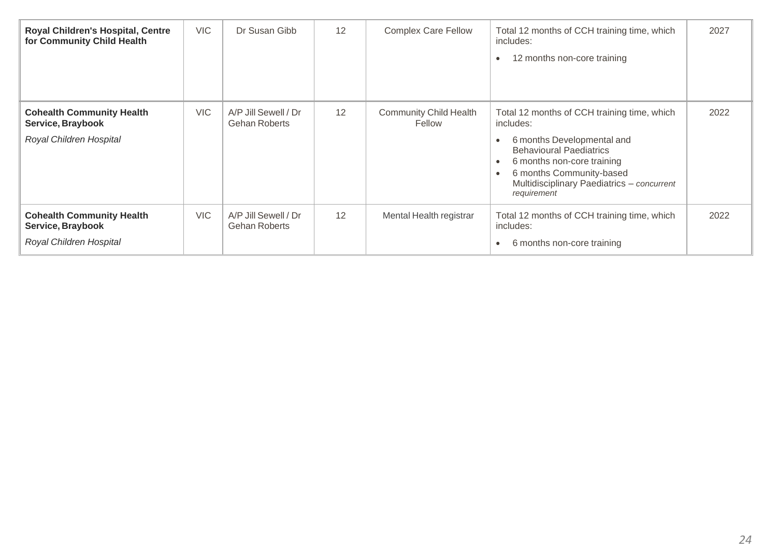| <b>Royal Children's Hospital, Centre</b><br>for Community Child Health           | <b>VIC</b> | Dr Susan Gibb                                | 12 | <b>Complex Care Fellow</b>              | Total 12 months of CCH training time, which<br>includes:<br>12 months non-core training                                                                                                                                                         | 2027 |
|----------------------------------------------------------------------------------|------------|----------------------------------------------|----|-----------------------------------------|-------------------------------------------------------------------------------------------------------------------------------------------------------------------------------------------------------------------------------------------------|------|
| <b>Cohealth Community Health</b><br>Service, Braybook<br>Royal Children Hospital | <b>VIC</b> | A/P Jill Sewell / Dr<br><b>Gehan Roberts</b> | 12 | <b>Community Child Health</b><br>Fellow | Total 12 months of CCH training time, which<br>includes:<br>6 months Developmental and<br><b>Behavioural Paediatrics</b><br>6 months non-core training<br>6 months Community-based<br>Multidisciplinary Paediatrics - concurrent<br>requirement | 2022 |
| <b>Cohealth Community Health</b><br>Service, Braybook<br>Royal Children Hospital | <b>VIC</b> | A/P Jill Sewell / Dr<br>Gehan Roberts        | 12 | Mental Health registrar                 | Total 12 months of CCH training time, which<br>includes:<br>6 months non-core training                                                                                                                                                          | 2022 |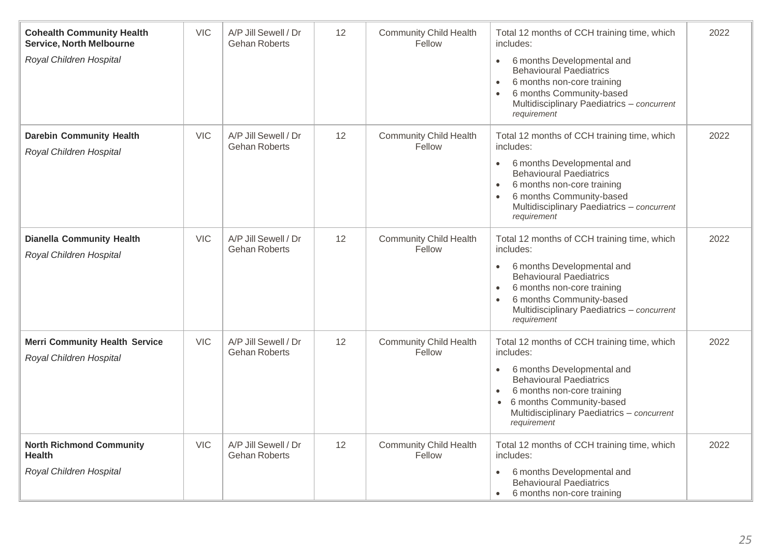| <b>Cohealth Community Health</b><br><b>Service, North Melbourne</b><br>Royal Children Hospital | <b>VIC</b> | A/P Jill Sewell / Dr<br><b>Gehan Roberts</b> | 12 | <b>Community Child Health</b><br>Fellow | Total 12 months of CCH training time, which<br>includes:<br>6 months Developmental and<br>$\bullet$<br><b>Behavioural Paediatrics</b><br>6 months non-core training<br>6 months Community-based<br>Multidisciplinary Paediatrics - concurrent<br>requirement              | 2022 |
|------------------------------------------------------------------------------------------------|------------|----------------------------------------------|----|-----------------------------------------|---------------------------------------------------------------------------------------------------------------------------------------------------------------------------------------------------------------------------------------------------------------------------|------|
| <b>Darebin Community Health</b><br>Royal Children Hospital                                     | <b>VIC</b> | A/P Jill Sewell / Dr<br><b>Gehan Roberts</b> | 12 | <b>Community Child Health</b><br>Fellow | Total 12 months of CCH training time, which<br>includes:<br>6 months Developmental and<br><b>Behavioural Paediatrics</b><br>6 months non-core training<br>6 months Community-based<br>Multidisciplinary Paediatrics - concurrent<br>requirement                           | 2022 |
| <b>Dianella Community Health</b><br>Royal Children Hospital                                    | <b>VIC</b> | A/P Jill Sewell / Dr<br><b>Gehan Roberts</b> | 12 | <b>Community Child Health</b><br>Fellow | Total 12 months of CCH training time, which<br>includes:<br>6 months Developmental and<br>$\bullet$<br><b>Behavioural Paediatrics</b><br>6 months non-core training<br>6 months Community-based<br>Multidisciplinary Paediatrics - concurrent<br>requirement              | 2022 |
| <b>Merri Community Health Service</b><br>Royal Children Hospital                               | <b>VIC</b> | A/P Jill Sewell / Dr<br><b>Gehan Roberts</b> | 12 | <b>Community Child Health</b><br>Fellow | Total 12 months of CCH training time, which<br>includes:<br>6 months Developmental and<br>$\bullet$<br><b>Behavioural Paediatrics</b><br>6 months non-core training<br>6 months Community-based<br>$\bullet$<br>Multidisciplinary Paediatrics - concurrent<br>requirement | 2022 |
| <b>North Richmond Community</b><br><b>Health</b><br>Royal Children Hospital                    | <b>VIC</b> | A/P Jill Sewell / Dr<br><b>Gehan Roberts</b> | 12 | <b>Community Child Health</b><br>Fellow | Total 12 months of CCH training time, which<br>includes:<br>6 months Developmental and<br>$\bullet$<br><b>Behavioural Paediatrics</b><br>6 months non-core training<br>$\bullet$                                                                                          | 2022 |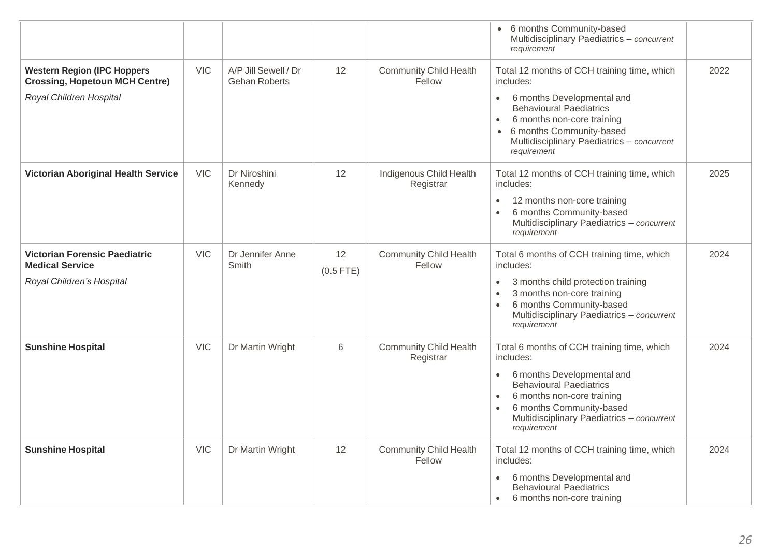|                                                                                                         |            |                                              |                   |                                            | • 6 months Community-based<br>Multidisciplinary Paediatrics - concurrent<br>requirement                                                                                                                       |      |
|---------------------------------------------------------------------------------------------------------|------------|----------------------------------------------|-------------------|--------------------------------------------|---------------------------------------------------------------------------------------------------------------------------------------------------------------------------------------------------------------|------|
| <b>Western Region (IPC Hoppers)</b><br><b>Crossing, Hopetoun MCH Centre)</b><br>Royal Children Hospital | <b>VIC</b> | A/P Jill Sewell / Dr<br><b>Gehan Roberts</b> | 12                | <b>Community Child Health</b><br>Fellow    | Total 12 months of CCH training time, which<br>includes:<br>6 months Developmental and<br>$\bullet$                                                                                                           | 2022 |
|                                                                                                         |            |                                              |                   |                                            | <b>Behavioural Paediatrics</b><br>6 months non-core training<br>$\bullet$<br>6 months Community-based<br>Multidisciplinary Paediatrics - concurrent<br>requirement                                            |      |
| <b>Victorian Aboriginal Health Service</b>                                                              | <b>VIC</b> | Dr Niroshini<br>Kennedy                      | 12                | Indigenous Child Health<br>Registrar       | Total 12 months of CCH training time, which<br>includes:                                                                                                                                                      | 2025 |
|                                                                                                         |            |                                              |                   |                                            | 12 months non-core training<br>$\bullet$<br>6 months Community-based<br>$\bullet$<br>Multidisciplinary Paediatrics - concurrent<br>requirement                                                                |      |
| <b>Victorian Forensic Paediatric</b><br><b>Medical Service</b>                                          | <b>VIC</b> | Dr Jennifer Anne<br>Smith                    | 12<br>$(0.5$ FTE) | <b>Community Child Health</b><br>Fellow    | Total 6 months of CCH training time, which<br>includes:                                                                                                                                                       | 2024 |
| Royal Children's Hospital                                                                               |            |                                              |                   |                                            | 3 months child protection training<br>$\bullet$<br>3 months non-core training<br>$\bullet$<br>6 months Community-based<br>$\bullet$<br>Multidisciplinary Paediatrics - concurrent<br>requirement              |      |
| <b>Sunshine Hospital</b>                                                                                | <b>VIC</b> | Dr Martin Wright                             | 6                 | <b>Community Child Health</b><br>Registrar | Total 6 months of CCH training time, which<br>includes:                                                                                                                                                       | 2024 |
|                                                                                                         |            |                                              |                   |                                            | 6 months Developmental and<br><b>Behavioural Paediatrics</b><br>6 months non-core training<br>$\bullet$<br>6 months Community-based<br>$\bullet$<br>Multidisciplinary Paediatrics - concurrent<br>requirement |      |
| <b>Sunshine Hospital</b>                                                                                | <b>VIC</b> | Dr Martin Wright                             | 12                | <b>Community Child Health</b><br>Fellow    | Total 12 months of CCH training time, which<br>includes:                                                                                                                                                      | 2024 |
|                                                                                                         |            |                                              |                   |                                            | 6 months Developmental and<br>$\bullet$<br><b>Behavioural Paediatrics</b><br>6 months non-core training<br>$\bullet$                                                                                          |      |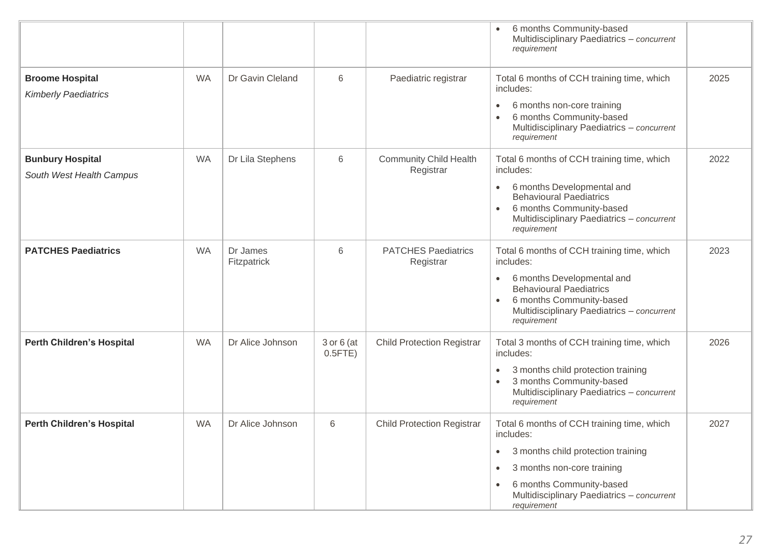|                                                       |           |                         |                              |                                            | 6 months Community-based<br>Multidisciplinary Paediatrics - concurrent<br>requirement                                                                                                                                                                       |      |
|-------------------------------------------------------|-----------|-------------------------|------------------------------|--------------------------------------------|-------------------------------------------------------------------------------------------------------------------------------------------------------------------------------------------------------------------------------------------------------------|------|
| <b>Broome Hospital</b><br><b>Kimberly Paediatrics</b> | <b>WA</b> | Dr Gavin Cleland        | 6                            | Paediatric registrar                       | Total 6 months of CCH training time, which<br>includes:<br>6 months non-core training<br>$\bullet$<br>6 months Community-based<br>$\bullet$<br>Multidisciplinary Paediatrics - concurrent<br>requirement                                                    | 2025 |
| <b>Bunbury Hospital</b><br>South West Health Campus   | <b>WA</b> | Dr Lila Stephens        | $6\,$                        | <b>Community Child Health</b><br>Registrar | Total 6 months of CCH training time, which<br>includes:<br>6 months Developmental and<br>$\bullet$<br><b>Behavioural Paediatrics</b><br>6 months Community-based<br>Multidisciplinary Paediatrics - concurrent<br>requirement                               | 2022 |
| <b>PATCHES Paediatrics</b>                            | <b>WA</b> | Dr James<br>Fitzpatrick | 6                            | <b>PATCHES Paediatrics</b><br>Registrar    | Total 6 months of CCH training time, which<br>includes:<br>6 months Developmental and<br>$\bullet$<br><b>Behavioural Paediatrics</b><br>6 months Community-based<br>$\bullet$<br>Multidisciplinary Paediatrics - concurrent<br>requirement                  | 2023 |
| <b>Perth Children's Hospital</b>                      | <b>WA</b> | Dr Alice Johnson        | $3$ or $6$ (at<br>$0.5$ FTE) | <b>Child Protection Registrar</b>          | Total 3 months of CCH training time, which<br>includes:<br>3 months child protection training<br>$\bullet$<br>3 months Community-based<br>Multidisciplinary Paediatrics - concurrent<br>requirement                                                         | 2026 |
| <b>Perth Children's Hospital</b>                      | <b>WA</b> | Dr Alice Johnson        | 6                            | <b>Child Protection Registrar</b>          | Total 6 months of CCH training time, which<br>includes:<br>3 months child protection training<br>$\bullet$<br>3 months non-core training<br>$\bullet$<br>6 months Community-based<br>$\bullet$<br>Multidisciplinary Paediatrics - concurrent<br>requirement | 2027 |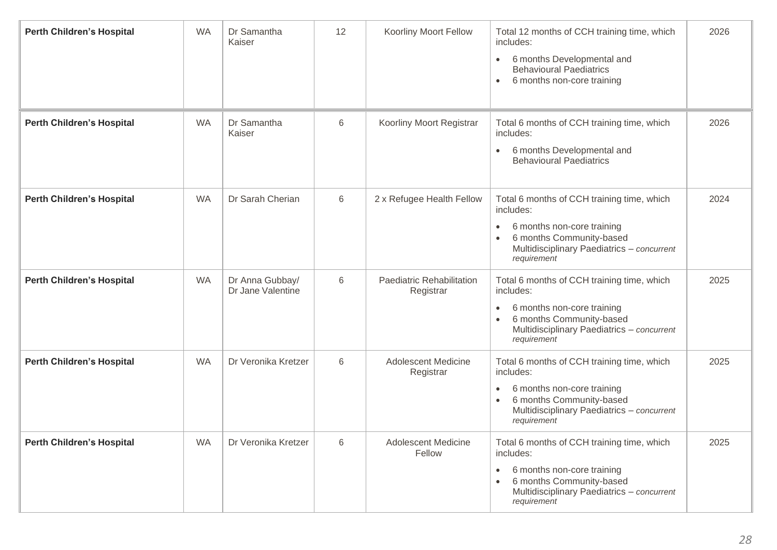| <b>Perth Children's Hospital</b> | <b>WA</b> | Dr Samantha<br>Kaiser                | 12 | Koorliny Moort Fellow                   | Total 12 months of CCH training time, which<br>includes:<br>6 months Developmental and<br>$\bullet$<br><b>Behavioural Paediatrics</b><br>6 months non-core training<br>$\bullet$                         | 2026 |
|----------------------------------|-----------|--------------------------------------|----|-----------------------------------------|----------------------------------------------------------------------------------------------------------------------------------------------------------------------------------------------------------|------|
| <b>Perth Children's Hospital</b> | <b>WA</b> | Dr Samantha<br>Kaiser                | 6  | Koorliny Moort Registrar                | Total 6 months of CCH training time, which<br>includes:<br>6 months Developmental and<br>$\bullet$<br><b>Behavioural Paediatrics</b>                                                                     | 2026 |
| <b>Perth Children's Hospital</b> | <b>WA</b> | Dr Sarah Cherian                     | 6  | 2 x Refugee Health Fellow               | Total 6 months of CCH training time, which<br>includes:<br>6 months non-core training<br>$\bullet$<br>6 months Community-based<br>Multidisciplinary Paediatrics - concurrent<br>requirement              | 2024 |
| <b>Perth Children's Hospital</b> | <b>WA</b> | Dr Anna Gubbay/<br>Dr Jane Valentine | 6  | Paediatric Rehabilitation<br>Registrar  | Total 6 months of CCH training time, which<br>includes:<br>6 months non-core training<br>$\bullet$<br>6 months Community-based<br>Multidisciplinary Paediatrics - concurrent<br>requirement              | 2025 |
| <b>Perth Children's Hospital</b> | <b>WA</b> | Dr Veronika Kretzer                  | 6  | <b>Adolescent Medicine</b><br>Registrar | Total 6 months of CCH training time, which<br>includes:<br>6 months non-core training<br>٠<br>6 months Community-based<br>Multidisciplinary Paediatrics - concurrent<br>requirement                      | 2025 |
| <b>Perth Children's Hospital</b> | <b>WA</b> | Dr Veronika Kretzer                  | 6  | <b>Adolescent Medicine</b><br>Fellow    | Total 6 months of CCH training time, which<br>includes:<br>6 months non-core training<br>$\bullet$<br>6 months Community-based<br>$\bullet$<br>Multidisciplinary Paediatrics - concurrent<br>requirement | 2025 |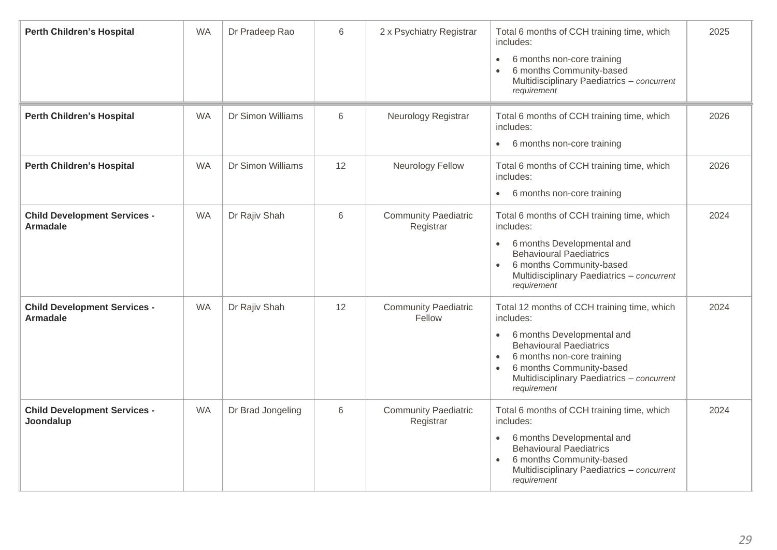| <b>Perth Children's Hospital</b>                       | <b>WA</b> | Dr Pradeep Rao    | 6  | 2 x Psychiatry Registrar                 | Total 6 months of CCH training time, which<br>includes:<br>6 months non-core training<br>$\bullet$<br>6 months Community-based<br>$\bullet$<br>Multidisciplinary Paediatrics - concurrent<br>requirement                                                                               | 2025 |
|--------------------------------------------------------|-----------|-------------------|----|------------------------------------------|----------------------------------------------------------------------------------------------------------------------------------------------------------------------------------------------------------------------------------------------------------------------------------------|------|
| <b>Perth Children's Hospital</b>                       | <b>WA</b> | Dr Simon Williams | 6  | Neurology Registrar                      | Total 6 months of CCH training time, which<br>includes:<br>6 months non-core training<br>$\bullet$                                                                                                                                                                                     | 2026 |
| <b>Perth Children's Hospital</b>                       | <b>WA</b> | Dr Simon Williams | 12 | <b>Neurology Fellow</b>                  | Total 6 months of CCH training time, which<br>includes:<br>6 months non-core training<br>$\bullet$                                                                                                                                                                                     | 2026 |
| <b>Child Development Services -</b><br><b>Armadale</b> | <b>WA</b> | Dr Rajiv Shah     | 6  | <b>Community Paediatric</b><br>Registrar | Total 6 months of CCH training time, which<br>includes:<br>6 months Developmental and<br>$\bullet$<br><b>Behavioural Paediatrics</b><br>6 months Community-based<br>Multidisciplinary Paediatrics - concurrent<br>requirement                                                          | 2024 |
| <b>Child Development Services -</b><br><b>Armadale</b> | <b>WA</b> | Dr Rajiv Shah     | 12 | <b>Community Paediatric</b><br>Fellow    | Total 12 months of CCH training time, which<br>includes:<br>6 months Developmental and<br>$\bullet$<br><b>Behavioural Paediatrics</b><br>6 months non-core training<br>$\bullet$<br>6 months Community-based<br>$\bullet$<br>Multidisciplinary Paediatrics - concurrent<br>requirement | 2024 |
| <b>Child Development Services -</b><br>Joondalup       | <b>WA</b> | Dr Brad Jongeling | 6  | <b>Community Paediatric</b><br>Registrar | Total 6 months of CCH training time, which<br>includes:<br>6 months Developmental and<br>$\bullet$<br><b>Behavioural Paediatrics</b><br>6 months Community-based<br>Multidisciplinary Paediatrics - concurrent<br>requirement                                                          | 2024 |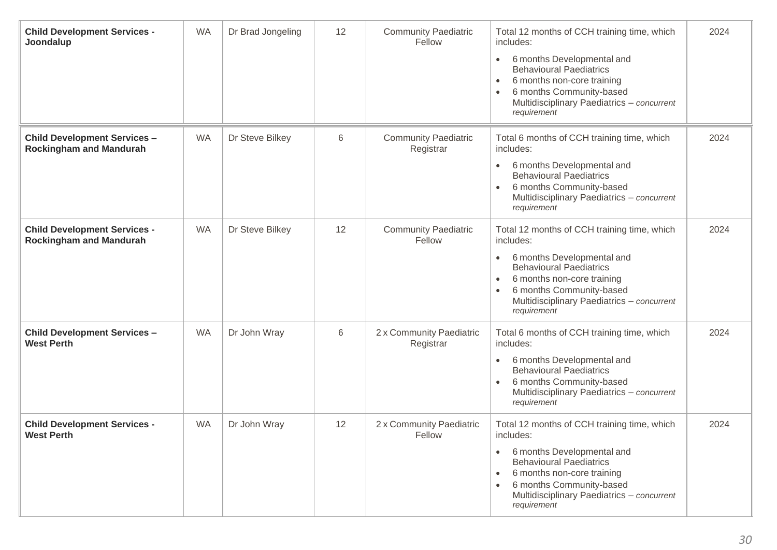| <b>Child Development Services -</b><br>Joondalup                      | <b>WA</b> | Dr Brad Jongeling | 12 | <b>Community Paediatric</b><br>Fellow     | Total 12 months of CCH training time, which<br>includes:<br>6 months Developmental and<br>$\bullet$<br><b>Behavioural Paediatrics</b><br>6 months non-core training<br>$\bullet$<br>6 months Community-based<br>$\bullet$<br>Multidisciplinary Paediatrics - concurrent<br>requirement | 2024 |
|-----------------------------------------------------------------------|-----------|-------------------|----|-------------------------------------------|----------------------------------------------------------------------------------------------------------------------------------------------------------------------------------------------------------------------------------------------------------------------------------------|------|
| <b>Child Development Services -</b><br><b>Rockingham and Mandurah</b> | <b>WA</b> | Dr Steve Bilkey   | 6  | <b>Community Paediatric</b><br>Registrar  | Total 6 months of CCH training time, which<br>includes:<br>6 months Developmental and<br>$\bullet$<br><b>Behavioural Paediatrics</b><br>6 months Community-based<br>$\bullet$<br>Multidisciplinary Paediatrics - concurrent<br>requirement                                             | 2024 |
| <b>Child Development Services -</b><br><b>Rockingham and Mandurah</b> | <b>WA</b> | Dr Steve Bilkey   | 12 | <b>Community Paediatric</b><br>Fellow     | Total 12 months of CCH training time, which<br>includes:<br>6 months Developmental and<br>$\bullet$<br><b>Behavioural Paediatrics</b><br>6 months non-core training<br>$\bullet$<br>6 months Community-based<br>$\bullet$<br>Multidisciplinary Paediatrics - concurrent<br>requirement | 2024 |
| <b>Child Development Services -</b><br><b>West Perth</b>              | <b>WA</b> | Dr John Wray      | 6  | 2 x Community Paediatric<br>Registrar     | Total 6 months of CCH training time, which<br>includes:<br>6 months Developmental and<br>$\bullet$<br><b>Behavioural Paediatrics</b><br>6 months Community-based<br>$\bullet$<br>Multidisciplinary Paediatrics - concurrent<br>requirement                                             | 2024 |
| <b>Child Development Services -</b><br>West Perth                     | <b>WA</b> | Dr John Wray      | 12 | 2 x Community Paediatric<br><b>Fellow</b> | Total 12 months of CCH training time, which<br>includes:<br>6 months Developmental and<br>$\bullet$<br><b>Behavioural Paediatrics</b><br>6 months non-core training<br>$\bullet$<br>6 months Community-based<br>$\bullet$<br>Multidisciplinary Paediatrics - concurrent<br>requirement | 2024 |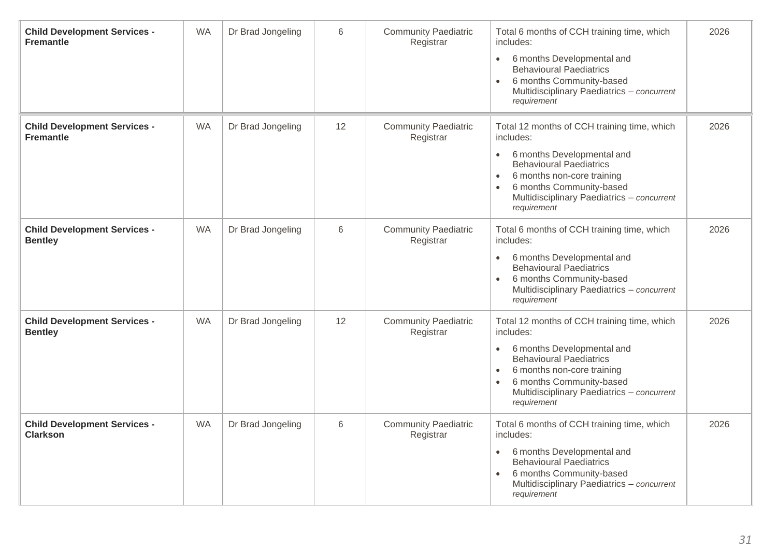| <b>Child Development Services -</b><br><b>Fremantle</b> | <b>WA</b> | Dr Brad Jongeling | 6     | <b>Community Paediatric</b><br>Registrar | Total 6 months of CCH training time, which<br>includes:<br>6 months Developmental and<br>$\bullet$<br><b>Behavioural Paediatrics</b><br>6 months Community-based<br>Multidisciplinary Paediatrics - concurrent<br>requirement                                             | 2026 |
|---------------------------------------------------------|-----------|-------------------|-------|------------------------------------------|---------------------------------------------------------------------------------------------------------------------------------------------------------------------------------------------------------------------------------------------------------------------------|------|
| <b>Child Development Services -</b><br><b>Fremantle</b> | <b>WA</b> | Dr Brad Jongeling | 12    | <b>Community Paediatric</b><br>Registrar | Total 12 months of CCH training time, which<br>includes:<br>6 months Developmental and<br>$\bullet$<br><b>Behavioural Paediatrics</b><br>6 months non-core training<br>$\bullet$<br>6 months Community-based<br>Multidisciplinary Paediatrics - concurrent<br>requirement | 2026 |
| <b>Child Development Services -</b><br><b>Bentley</b>   | <b>WA</b> | Dr Brad Jongeling | $6\,$ | <b>Community Paediatric</b><br>Registrar | Total 6 months of CCH training time, which<br>includes:<br>6 months Developmental and<br>$\bullet$<br><b>Behavioural Paediatrics</b><br>6 months Community-based<br>$\bullet$<br>Multidisciplinary Paediatrics - concurrent<br>requirement                                | 2026 |
| <b>Child Development Services -</b><br><b>Bentley</b>   | <b>WA</b> | Dr Brad Jongeling | 12    | <b>Community Paediatric</b><br>Registrar | Total 12 months of CCH training time, which<br>includes:<br>6 months Developmental and<br>$\bullet$<br><b>Behavioural Paediatrics</b><br>6 months non-core training<br>$\bullet$<br>6 months Community-based<br>Multidisciplinary Paediatrics - concurrent<br>requirement | 2026 |
| <b>Child Development Services -</b><br><b>Clarkson</b>  | <b>WA</b> | Dr Brad Jongeling | 6     | <b>Community Paediatric</b><br>Registrar | Total 6 months of CCH training time, which<br>includes:<br>6 months Developmental and<br>$\bullet$<br><b>Behavioural Paediatrics</b><br>6 months Community-based<br>Multidisciplinary Paediatrics - concurrent<br>requirement                                             | 2026 |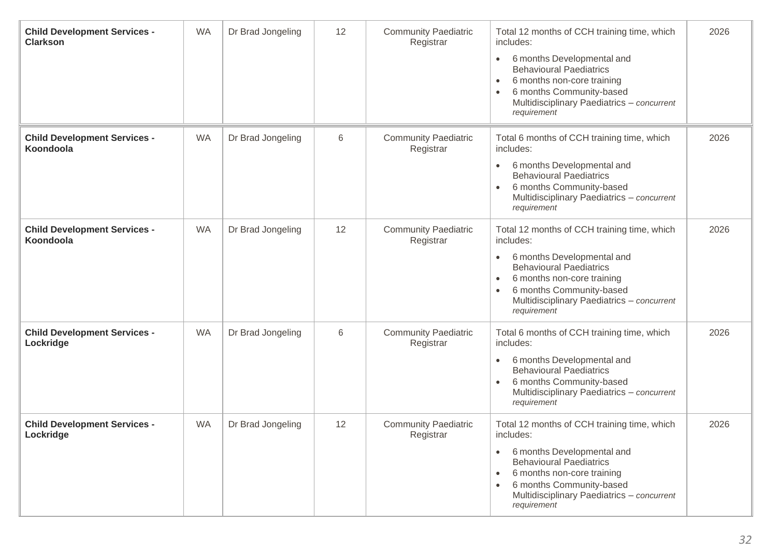| <b>Child Development Services -</b><br><b>Clarkson</b> | <b>WA</b> | Dr Brad Jongeling | 12 | <b>Community Paediatric</b><br>Registrar | Total 12 months of CCH training time, which<br>includes:<br>6 months Developmental and<br>$\bullet$<br><b>Behavioural Paediatrics</b><br>6 months non-core training<br>$\bullet$<br>6 months Community-based<br>$\bullet$<br>Multidisciplinary Paediatrics - concurrent<br>requirement | 2026 |
|--------------------------------------------------------|-----------|-------------------|----|------------------------------------------|----------------------------------------------------------------------------------------------------------------------------------------------------------------------------------------------------------------------------------------------------------------------------------------|------|
| <b>Child Development Services -</b><br>Koondoola       | <b>WA</b> | Dr Brad Jongeling | 6  | <b>Community Paediatric</b><br>Registrar | Total 6 months of CCH training time, which<br>includes:<br>6 months Developmental and<br>$\bullet$<br><b>Behavioural Paediatrics</b><br>6 months Community-based<br>$\bullet$<br>Multidisciplinary Paediatrics - concurrent<br>requirement                                             | 2026 |
| <b>Child Development Services -</b><br>Koondoola       | <b>WA</b> | Dr Brad Jongeling | 12 | <b>Community Paediatric</b><br>Registrar | Total 12 months of CCH training time, which<br>includes:<br>6 months Developmental and<br>$\bullet$<br><b>Behavioural Paediatrics</b><br>6 months non-core training<br>$\bullet$<br>6 months Community-based<br>$\bullet$<br>Multidisciplinary Paediatrics - concurrent<br>requirement | 2026 |
| <b>Child Development Services -</b><br>Lockridge       | <b>WA</b> | Dr Brad Jongeling | 6  | <b>Community Paediatric</b><br>Registrar | Total 6 months of CCH training time, which<br>includes:<br>6 months Developmental and<br>$\bullet$<br><b>Behavioural Paediatrics</b><br>6 months Community-based<br>$\bullet$<br>Multidisciplinary Paediatrics - concurrent<br>requirement                                             | 2026 |
| <b>Child Development Services -</b><br>Lockridge       | <b>WA</b> | Dr Brad Jongeling | 12 | <b>Community Paediatric</b><br>Registrar | Total 12 months of CCH training time, which<br>includes:<br>6 months Developmental and<br>$\bullet$<br><b>Behavioural Paediatrics</b><br>6 months non-core training<br>$\bullet$<br>6 months Community-based<br>$\bullet$<br>Multidisciplinary Paediatrics - concurrent<br>requirement | 2026 |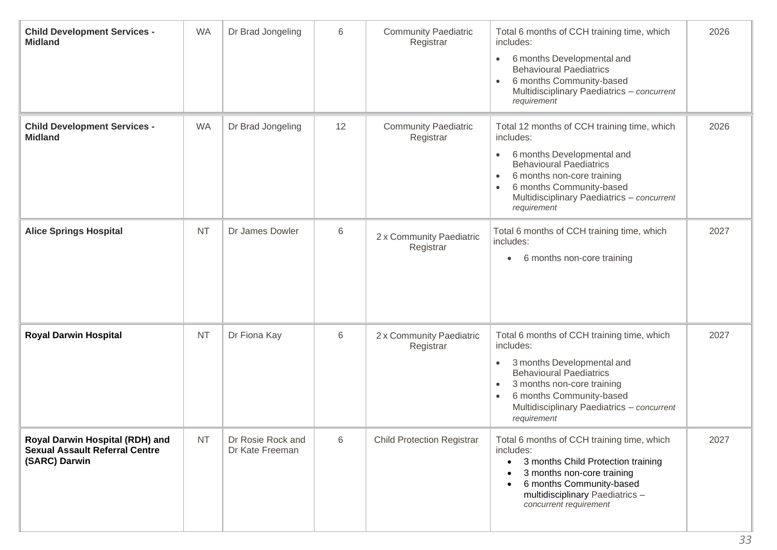| <b>Child Development Services -</b><br><b>Midland</b>                                     | <b>WA</b> | Dr Brad Jongeling                    | 6  | <b>Community Paediatric</b><br>Registrar | Total 6 months of CCH training time, which<br>includes:<br>6 months Developmental and<br>$\bullet$<br><b>Behavioural Paediatrics</b><br>6 months Community-based<br>Multidisciplinary Paediatrics - concurrent<br>requirement                                                          | 2026 |
|-------------------------------------------------------------------------------------------|-----------|--------------------------------------|----|------------------------------------------|----------------------------------------------------------------------------------------------------------------------------------------------------------------------------------------------------------------------------------------------------------------------------------------|------|
| <b>Child Development Services -</b><br><b>Midland</b>                                     | <b>WA</b> | Dr Brad Jongeling                    | 12 | <b>Community Paediatric</b><br>Registrar | Total 12 months of CCH training time, which<br>includes:<br>6 months Developmental and<br>$\bullet$<br><b>Behavioural Paediatrics</b><br>6 months non-core training<br>$\bullet$<br>6 months Community-based<br>$\bullet$<br>Multidisciplinary Paediatrics - concurrent<br>requirement | 2026 |
| <b>Alice Springs Hospital</b>                                                             | <b>NT</b> | Dr James Dowler                      | 6  | 2 x Community Paediatric<br>Registrar    | Total 6 months of CCH training time, which<br>includes:<br>6 months non-core training<br>$\bullet$                                                                                                                                                                                     | 2027 |
| <b>Royal Darwin Hospital</b>                                                              | <b>NT</b> | Dr Fiona Kay                         | 6  | 2 x Community Paediatric<br>Registrar    | Total 6 months of CCH training time, which<br>includes:<br>3 months Developmental and<br>$\bullet$<br><b>Behavioural Paediatrics</b><br>3 months non-core training<br>$\bullet$<br>6 months Community-based<br>$\bullet$<br>Multidisciplinary Paediatrics - concurrent<br>requirement  | 2027 |
| Royal Darwin Hospital (RDH) and<br><b>Sexual Assault Referral Centre</b><br>(SARC) Darwin | <b>NT</b> | Dr Rosie Rock and<br>Dr Kate Freeman | 6  | <b>Child Protection Registrar</b>        | Total 6 months of CCH training time, which<br>includes:<br>3 months Child Protection training<br>3 months non-core training<br>6 months Community-based<br>multidisciplinary Paediatrics-<br>concurrent requirement                                                                    | 2027 |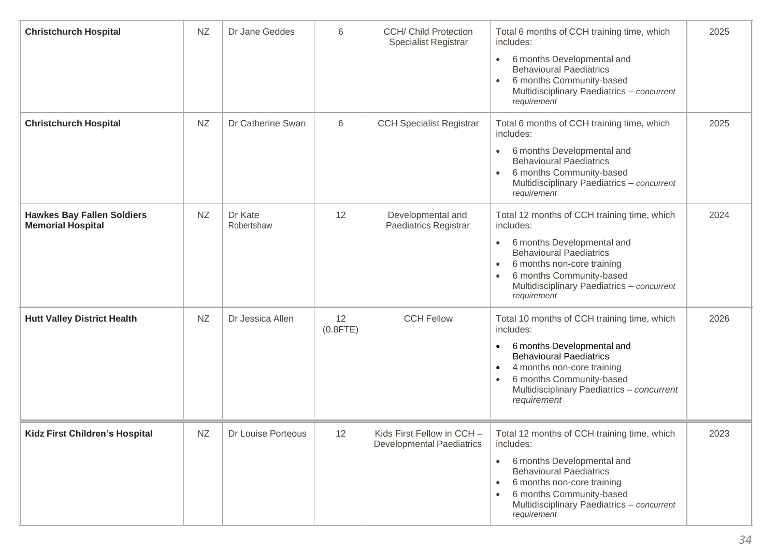| <b>Christchurch Hospital</b>                                  | <b>NZ</b> | Dr Jane Geddes        | 6                 | <b>CCH/ Child Protection</b><br><b>Specialist Registrar</b>    | Total 6 months of CCH training time, which<br>includes:<br>6 months Developmental and<br>$\bullet$<br><b>Behavioural Paediatrics</b><br>6 months Community-based<br>$\bullet$<br>Multidisciplinary Paediatrics - concurrent<br>requirement                                             | 2025 |
|---------------------------------------------------------------|-----------|-----------------------|-------------------|----------------------------------------------------------------|----------------------------------------------------------------------------------------------------------------------------------------------------------------------------------------------------------------------------------------------------------------------------------------|------|
| <b>Christchurch Hospital</b>                                  | <b>NZ</b> | Dr Catherine Swan     | 6                 | <b>CCH Specialist Registrar</b>                                | Total 6 months of CCH training time, which<br>includes:<br>6 months Developmental and<br>$\bullet$<br><b>Behavioural Paediatrics</b><br>6 months Community-based<br>Multidisciplinary Paediatrics - concurrent<br>requirement                                                          | 2025 |
| <b>Hawkes Bay Fallen Soldiers</b><br><b>Memorial Hospital</b> | <b>NZ</b> | Dr Kate<br>Robertshaw | 12                | Developmental and<br><b>Paediatrics Registrar</b>              | Total 12 months of CCH training time, which<br>includes:<br>6 months Developmental and<br>$\bullet$<br><b>Behavioural Paediatrics</b><br>6 months non-core training<br>$\bullet$<br>6 months Community-based<br>$\bullet$<br>Multidisciplinary Paediatrics - concurrent<br>requirement | 2024 |
| <b>Hutt Valley District Health</b>                            | <b>NZ</b> | Dr Jessica Allen      | 12<br>$(0.8$ FTE) | <b>CCH Fellow</b>                                              | Total 10 months of CCH training time, which<br>includes:<br>6 months Developmental and<br>$\bullet$<br><b>Behavioural Paediatrics</b><br>4 months non-core training<br>٠<br>6 months Community-based<br>Multidisciplinary Paediatrics - concurrent<br>requirement                      | 2026 |
| <b>Kidz First Children's Hospital</b>                         | NZ        | Dr Louise Porteous    | 12                | Kids First Fellow in CCH -<br><b>Developmental Paediatrics</b> | Total 12 months of CCH training time, which<br>includes:<br>6 months Developmental and<br>$\bullet$<br><b>Behavioural Paediatrics</b><br>6 months non-core training<br>6 months Community-based<br>Multidisciplinary Paediatrics - concurrent<br>requirement                           | 2023 |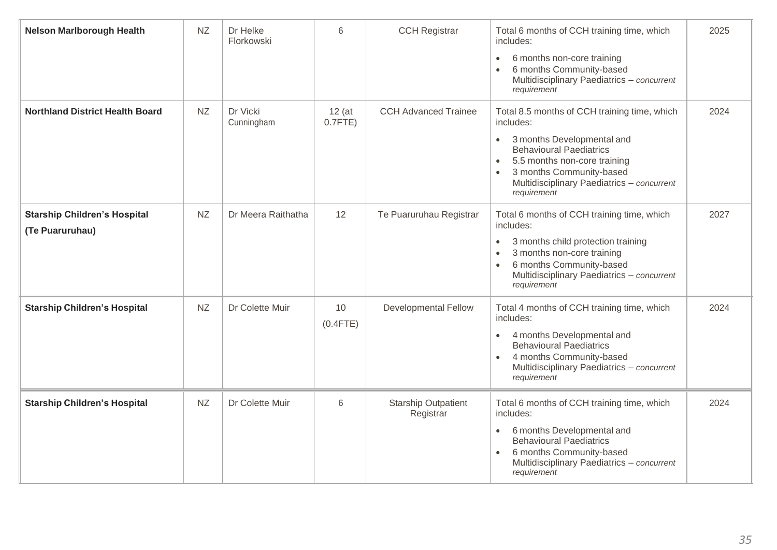| <b>Nelson Marlborough Health</b>                       | <b>NZ</b> | Dr Helke<br>Florkowski | $6\phantom{1}$         | <b>CCH Registrar</b>                    | Total 6 months of CCH training time, which<br>includes:<br>6 months non-core training<br>$\bullet$<br>6 months Community-based<br>$\bullet$<br>Multidisciplinary Paediatrics - concurrent<br>requirement                                                                                  | 2025 |
|--------------------------------------------------------|-----------|------------------------|------------------------|-----------------------------------------|-------------------------------------------------------------------------------------------------------------------------------------------------------------------------------------------------------------------------------------------------------------------------------------------|------|
| <b>Northland District Health Board</b>                 | NZ        | Dr Vicki<br>Cunningham | $12$ (at<br>$0.7$ FTE) | <b>CCH Advanced Trainee</b>             | Total 8.5 months of CCH training time, which<br>includes:<br>3 months Developmental and<br>$\bullet$<br><b>Behavioural Paediatrics</b><br>5.5 months non-core training<br>$\bullet$<br>3 months Community-based<br>$\bullet$<br>Multidisciplinary Paediatrics - concurrent<br>requirement | 2024 |
| <b>Starship Children's Hospital</b><br>(Te Puaruruhau) | <b>NZ</b> | Dr Meera Raithatha     | 12                     | Te Puaruruhau Registrar                 | Total 6 months of CCH training time, which<br>includes:<br>3 months child protection training<br>$\bullet$<br>3 months non-core training<br>$\bullet$<br>6 months Community-based<br>Multidisciplinary Paediatrics - concurrent<br>requirement                                            | 2027 |
| <b>Starship Children's Hospital</b>                    | NZ        | Dr Colette Muir        | 10<br>$(0.4$ FTE $)$   | <b>Developmental Fellow</b>             | Total 4 months of CCH training time, which<br>includes:<br>4 months Developmental and<br>$\bullet$<br><b>Behavioural Paediatrics</b><br>4 months Community-based<br>$\bullet$<br>Multidisciplinary Paediatrics - concurrent<br>requirement                                                | 2024 |
| <b>Starship Children's Hospital</b>                    | <b>NZ</b> | Dr Colette Muir        | 6                      | <b>Starship Outpatient</b><br>Registrar | Total 6 months of CCH training time, which<br>includes:<br>6 months Developmental and<br>$\bullet$<br><b>Behavioural Paediatrics</b><br>6 months Community-based<br>$\bullet$<br>Multidisciplinary Paediatrics - concurrent<br>requirement                                                | 2024 |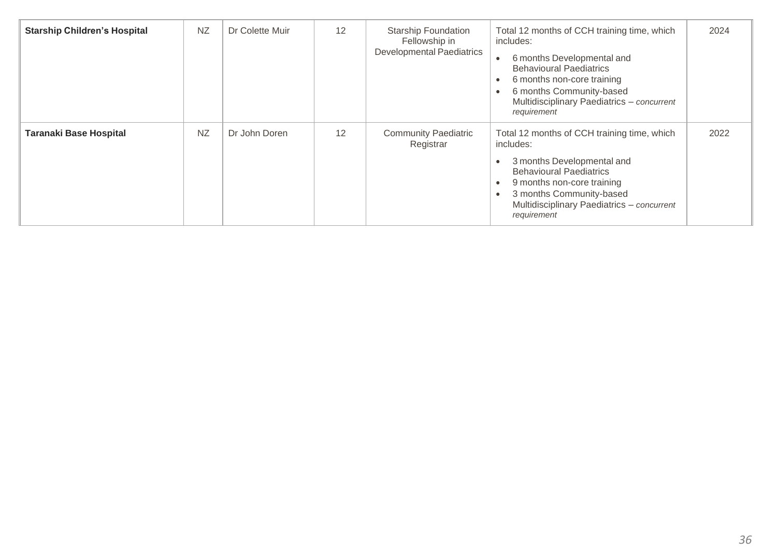| <b>Starship Children's Hospital</b> | <b>NZ</b> | Dr Colette Muir | 12 | <b>Starship Foundation</b><br>Fellowship in<br><b>Developmental Paediatrics</b> | Total 12 months of CCH training time, which<br>includes:<br>6 months Developmental and<br><b>Behavioural Paediatrics</b><br>6 months non-core training<br>6 months Community-based<br>Multidisciplinary Paediatrics - concurrent<br>requirement | 2024 |
|-------------------------------------|-----------|-----------------|----|---------------------------------------------------------------------------------|-------------------------------------------------------------------------------------------------------------------------------------------------------------------------------------------------------------------------------------------------|------|
| <b>Taranaki Base Hospital</b>       | <b>NZ</b> | Dr John Doren   | 12 | <b>Community Paediatric</b><br>Registrar                                        | Total 12 months of CCH training time, which<br>includes:<br>3 months Developmental and<br><b>Behavioural Paediatrics</b><br>9 months non-core training<br>3 months Community-based<br>Multidisciplinary Paediatrics - concurrent<br>requirement | 2022 |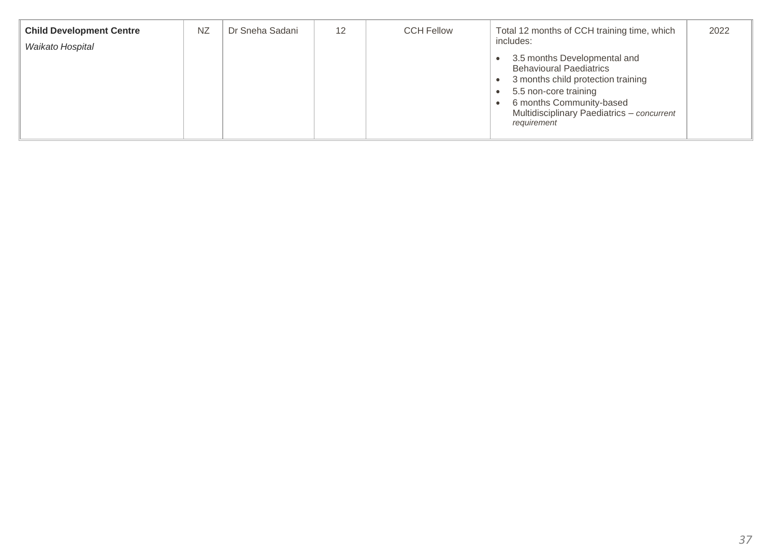| <b>Child Development Centre</b><br>Waikato Hospital | NZ | Dr Sneha Sadani | 12 | <b>CCH Fellow</b> | Total 12 months of CCH training time, which<br>includes:                                                                                                                                                               | 2022 |
|-----------------------------------------------------|----|-----------------|----|-------------------|------------------------------------------------------------------------------------------------------------------------------------------------------------------------------------------------------------------------|------|
|                                                     |    |                 |    |                   | 3.5 months Developmental and<br><b>Behavioural Paediatrics</b><br>3 months child protection training<br>5.5 non-core training<br>6 months Community-based<br>Multidisciplinary Paediatrics - concurrent<br>requirement |      |